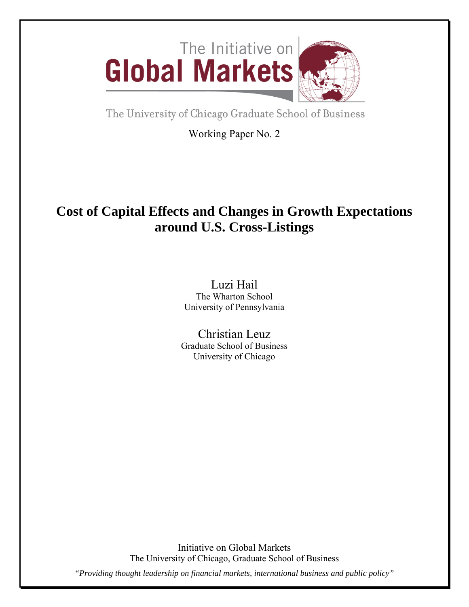

The University of Chicago Graduate School of Business

Working Paper No. 2

# **Cost of Capital Effects and Changes in Growth Expectations around U.S. Cross-Listings**

Luzi Hail The Wharton School University of Pennsylvania

Christian Leuz Graduate School of Business University of Chicago

Initiative on Global Markets The University of Chicago, Graduate School of Business *"Providing thought leadership on financial markets, international business and public policy"*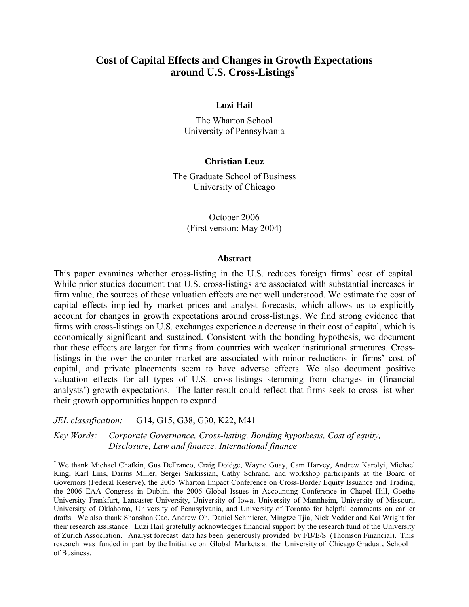# **Cost of Capital Effects and Changes in Growth Expectations around U.S. Cross-Listings\***

# **Luzi Hail**

The Wharton School University of Pennsylvania

# **Christian Leuz**

The Graduate School of Business University of Chicago

> October 2006 (First version: May 2004)

### **Abstract**

This paper examines whether cross-listing in the U.S. reduces foreign firms' cost of capital. While prior studies document that U.S. cross-listings are associated with substantial increases in firm value, the sources of these valuation effects are not well understood. We estimate the cost of capital effects implied by market prices and analyst forecasts, which allows us to explicitly account for changes in growth expectations around cross-listings. We find strong evidence that firms with cross-listings on U.S. exchanges experience a decrease in their cost of capital, which is economically significant and sustained. Consistent with the bonding hypothesis, we document that these effects are larger for firms from countries with weaker institutional structures. Crosslistings in the over-the-counter market are associated with minor reductions in firms' cost of capital, and private placements seem to have adverse effects. We also document positive valuation effects for all types of U.S. cross-listings stemming from changes in (financial analysts') growth expectations. The latter result could reflect that firms seek to cross-list when their growth opportunities happen to expand.

*JEL classification:* G14, G15, G38, G30, K22, M41

*Key Words: Corporate Governance, Cross-listing, Bonding hypothesis, Cost of equity, Disclosure, Law and finance, International finance* 

\* We thank Michael Chafkin, Gus DeFranco, Craig Doidge, Wayne Guay, Cam Harvey, Andrew Karolyi, Michael King, Karl Lins, Darius Miller, Sergei Sarkissian, Cathy Schrand, and workshop participants at the Board of Governors (Federal Reserve), the 2005 Wharton Impact Conference on Cross-Border Equity Issuance and Trading, the 2006 EAA Congress in Dublin, the 2006 Global Issues in Accounting Conference in Chapel Hill, Goethe University Frankfurt, Lancaster University, University of Iowa, University of Mannheim, University of Missouri, University of Oklahoma, University of Pennsylvania, and University of Toronto for helpful comments on earlier drafts. We also thank Shanshan Cao, Andrew Oh, Daniel Schmierer, Mingtze Tjia, Nick Vedder and Kai Wright for their research assistance. Luzi Hail gratefully acknowledges financial support by the research fund of the University of Zurich Association. Analyst forecast data has been generously provided by I/B/E/S (Thomson Financial). This research was funded in part by the Initiative on Global Markets at the University of Chicago Graduate School of Business.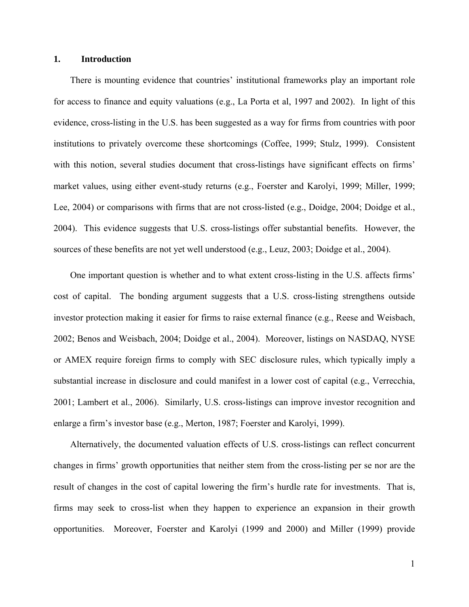# **1. Introduction**

There is mounting evidence that countries' institutional frameworks play an important role for access to finance and equity valuations (e.g., La Porta et al, 1997 and 2002). In light of this evidence, cross-listing in the U.S. has been suggested as a way for firms from countries with poor institutions to privately overcome these shortcomings (Coffee, 1999; Stulz, 1999). Consistent with this notion, several studies document that cross-listings have significant effects on firms' market values, using either event-study returns (e.g., Foerster and Karolyi, 1999; Miller, 1999; Lee, 2004) or comparisons with firms that are not cross-listed (e.g., Doidge, 2004; Doidge et al., 2004). This evidence suggests that U.S. cross-listings offer substantial benefits. However, the sources of these benefits are not yet well understood (e.g., Leuz, 2003; Doidge et al., 2004).

One important question is whether and to what extent cross-listing in the U.S. affects firms' cost of capital. The bonding argument suggests that a U.S. cross-listing strengthens outside investor protection making it easier for firms to raise external finance (e.g., Reese and Weisbach, 2002; Benos and Weisbach, 2004; Doidge et al., 2004). Moreover, listings on NASDAQ, NYSE or AMEX require foreign firms to comply with SEC disclosure rules, which typically imply a substantial increase in disclosure and could manifest in a lower cost of capital (e.g., Verrecchia, 2001; Lambert et al., 2006). Similarly, U.S. cross-listings can improve investor recognition and enlarge a firm's investor base (e.g., Merton, 1987; Foerster and Karolyi, 1999).

Alternatively, the documented valuation effects of U.S. cross-listings can reflect concurrent changes in firms' growth opportunities that neither stem from the cross-listing per se nor are the result of changes in the cost of capital lowering the firm's hurdle rate for investments. That is, firms may seek to cross-list when they happen to experience an expansion in their growth opportunities. Moreover, Foerster and Karolyi (1999 and 2000) and Miller (1999) provide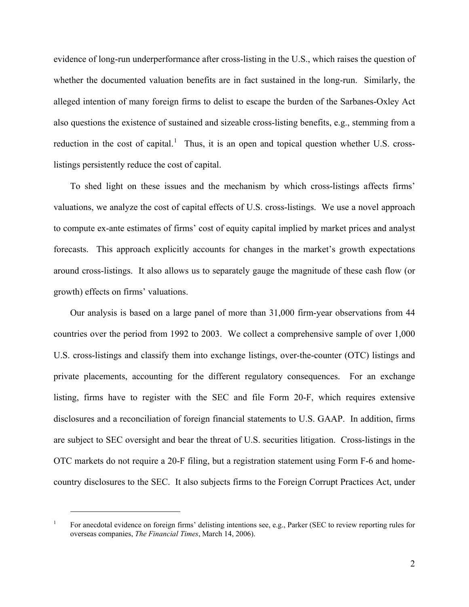evidence of long-run underperformance after cross-listing in the U.S., which raises the question of whether the documented valuation benefits are in fact sustained in the long-run. Similarly, the alleged intention of many foreign firms to delist to escape the burden of the Sarbanes-Oxley Act also questions the existence of sustained and sizeable cross-listing benefits, e.g., stemming from a reduction in the cost of capital.<sup>[1](#page-3-0)</sup> Thus, it is an open and topical question whether U.S. crosslistings persistently reduce the cost of capital.

To shed light on these issues and the mechanism by which cross-listings affects firms' valuations, we analyze the cost of capital effects of U.S. cross-listings. We use a novel approach to compute ex-ante estimates of firms' cost of equity capital implied by market prices and analyst forecasts. This approach explicitly accounts for changes in the market's growth expectations around cross-listings. It also allows us to separately gauge the magnitude of these cash flow (or growth) effects on firms' valuations.

Our analysis is based on a large panel of more than 31,000 firm-year observations from 44 countries over the period from 1992 to 2003. We collect a comprehensive sample of over 1,000 U.S. cross-listings and classify them into exchange listings, over-the-counter (OTC) listings and private placements, accounting for the different regulatory consequences. For an exchange listing, firms have to register with the SEC and file Form 20-F, which requires extensive disclosures and a reconciliation of foreign financial statements to U.S. GAAP. In addition, firms are subject to SEC oversight and bear the threat of U.S. securities litigation. Cross-listings in the OTC markets do not require a 20-F filing, but a registration statement using Form F-6 and homecountry disclosures to the SEC. It also subjects firms to the Foreign Corrupt Practices Act, under

<span id="page-3-0"></span><sup>1</sup> For anecdotal evidence on foreign firms' delisting intentions see, e.g., Parker (SEC to review reporting rules for overseas companies, *The Financial Times*, March 14, 2006).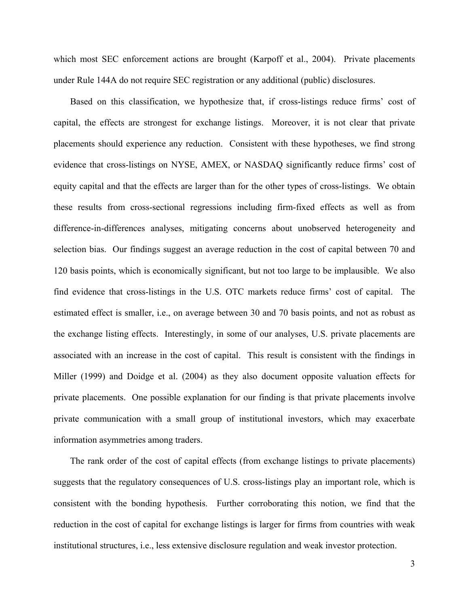which most SEC enforcement actions are brought (Karpoff et al., 2004). Private placements under Rule 144A do not require SEC registration or any additional (public) disclosures.

Based on this classification, we hypothesize that, if cross-listings reduce firms' cost of capital, the effects are strongest for exchange listings. Moreover, it is not clear that private placements should experience any reduction. Consistent with these hypotheses, we find strong evidence that cross-listings on NYSE, AMEX, or NASDAQ significantly reduce firms' cost of equity capital and that the effects are larger than for the other types of cross-listings. We obtain these results from cross-sectional regressions including firm-fixed effects as well as from difference-in-differences analyses, mitigating concerns about unobserved heterogeneity and selection bias. Our findings suggest an average reduction in the cost of capital between 70 and 120 basis points, which is economically significant, but not too large to be implausible. We also find evidence that cross-listings in the U.S. OTC markets reduce firms' cost of capital. The estimated effect is smaller, i.e., on average between 30 and 70 basis points, and not as robust as the exchange listing effects. Interestingly, in some of our analyses, U.S. private placements are associated with an increase in the cost of capital. This result is consistent with the findings in Miller (1999) and Doidge et al. (2004) as they also document opposite valuation effects for private placements. One possible explanation for our finding is that private placements involve private communication with a small group of institutional investors, which may exacerbate information asymmetries among traders.

The rank order of the cost of capital effects (from exchange listings to private placements) suggests that the regulatory consequences of U.S. cross-listings play an important role, which is consistent with the bonding hypothesis. Further corroborating this notion, we find that the reduction in the cost of capital for exchange listings is larger for firms from countries with weak institutional structures, i.e., less extensive disclosure regulation and weak investor protection.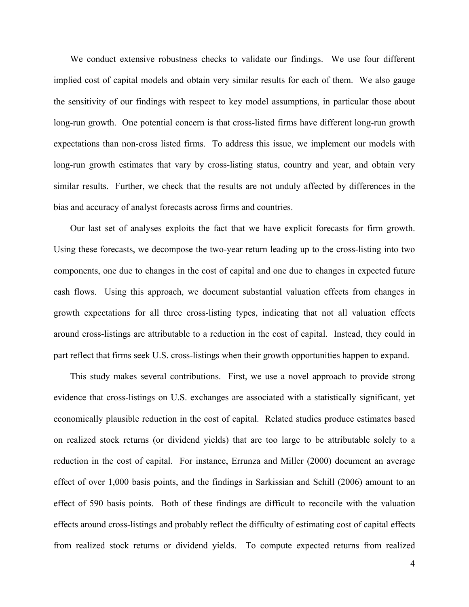We conduct extensive robustness checks to validate our findings. We use four different implied cost of capital models and obtain very similar results for each of them. We also gauge the sensitivity of our findings with respect to key model assumptions, in particular those about long-run growth. One potential concern is that cross-listed firms have different long-run growth expectations than non-cross listed firms. To address this issue, we implement our models with long-run growth estimates that vary by cross-listing status, country and year, and obtain very similar results. Further, we check that the results are not unduly affected by differences in the bias and accuracy of analyst forecasts across firms and countries.

Our last set of analyses exploits the fact that we have explicit forecasts for firm growth. Using these forecasts, we decompose the two-year return leading up to the cross-listing into two components, one due to changes in the cost of capital and one due to changes in expected future cash flows. Using this approach, we document substantial valuation effects from changes in growth expectations for all three cross-listing types, indicating that not all valuation effects around cross-listings are attributable to a reduction in the cost of capital. Instead, they could in part reflect that firms seek U.S. cross-listings when their growth opportunities happen to expand.

This study makes several contributions. First, we use a novel approach to provide strong evidence that cross-listings on U.S. exchanges are associated with a statistically significant, yet economically plausible reduction in the cost of capital. Related studies produce estimates based on realized stock returns (or dividend yields) that are too large to be attributable solely to a reduction in the cost of capital. For instance, Errunza and Miller (2000) document an average effect of over 1,000 basis points, and the findings in Sarkissian and Schill (2006) amount to an effect of 590 basis points. Both of these findings are difficult to reconcile with the valuation effects around cross-listings and probably reflect the difficulty of estimating cost of capital effects from realized stock returns or dividend yields. To compute expected returns from realized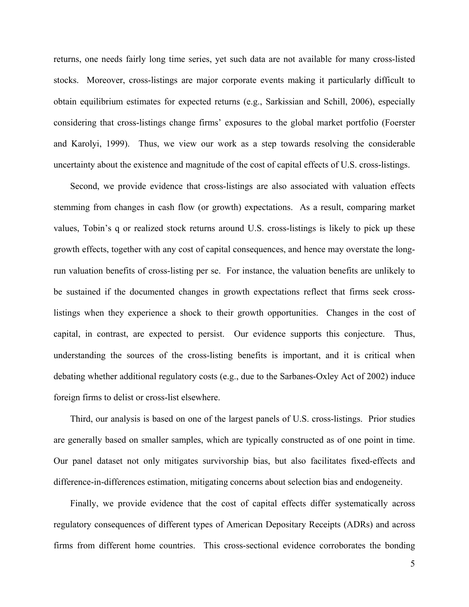returns, one needs fairly long time series, yet such data are not available for many cross-listed stocks. Moreover, cross-listings are major corporate events making it particularly difficult to obtain equilibrium estimates for expected returns (e.g., Sarkissian and Schill, 2006), especially considering that cross-listings change firms' exposures to the global market portfolio (Foerster and Karolyi, 1999). Thus, we view our work as a step towards resolving the considerable uncertainty about the existence and magnitude of the cost of capital effects of U.S. cross-listings.

Second, we provide evidence that cross-listings are also associated with valuation effects stemming from changes in cash flow (or growth) expectations. As a result, comparing market values, Tobin's q or realized stock returns around U.S. cross-listings is likely to pick up these growth effects, together with any cost of capital consequences, and hence may overstate the longrun valuation benefits of cross-listing per se. For instance, the valuation benefits are unlikely to be sustained if the documented changes in growth expectations reflect that firms seek crosslistings when they experience a shock to their growth opportunities. Changes in the cost of capital, in contrast, are expected to persist. Our evidence supports this conjecture. Thus, understanding the sources of the cross-listing benefits is important, and it is critical when debating whether additional regulatory costs (e.g., due to the Sarbanes-Oxley Act of 2002) induce foreign firms to delist or cross-list elsewhere.

Third, our analysis is based on one of the largest panels of U.S. cross-listings. Prior studies are generally based on smaller samples, which are typically constructed as of one point in time. Our panel dataset not only mitigates survivorship bias, but also facilitates fixed-effects and difference-in-differences estimation, mitigating concerns about selection bias and endogeneity.

Finally, we provide evidence that the cost of capital effects differ systematically across regulatory consequences of different types of American Depositary Receipts (ADRs) and across firms from different home countries. This cross-sectional evidence corroborates the bonding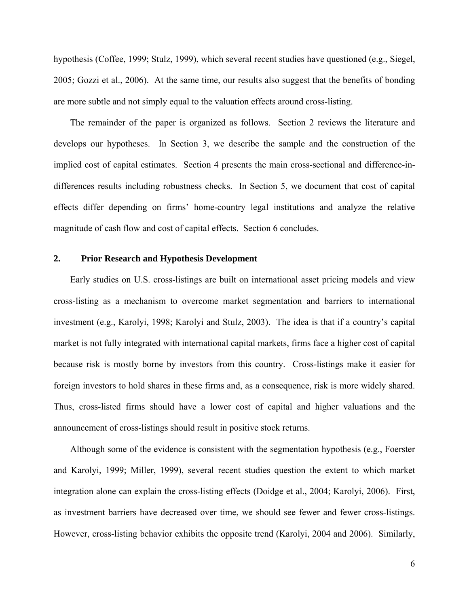hypothesis (Coffee, 1999; Stulz, 1999), which several recent studies have questioned (e.g., Siegel, 2005; Gozzi et al., 2006). At the same time, our results also suggest that the benefits of bonding are more subtle and not simply equal to the valuation effects around cross-listing.

The remainder of the paper is organized as follows. Section 2 reviews the literature and develops our hypotheses. In Section 3, we describe the sample and the construction of the implied cost of capital estimates. Section 4 presents the main cross-sectional and difference-indifferences results including robustness checks. In Section 5, we document that cost of capital effects differ depending on firms' home-country legal institutions and analyze the relative magnitude of cash flow and cost of capital effects. Section 6 concludes.

# **2. Prior Research and Hypothesis Development**

Early studies on U.S. cross-listings are built on international asset pricing models and view cross-listing as a mechanism to overcome market segmentation and barriers to international investment (e.g., Karolyi, 1998; Karolyi and Stulz, 2003). The idea is that if a country's capital market is not fully integrated with international capital markets, firms face a higher cost of capital because risk is mostly borne by investors from this country. Cross-listings make it easier for foreign investors to hold shares in these firms and, as a consequence, risk is more widely shared. Thus, cross-listed firms should have a lower cost of capital and higher valuations and the announcement of cross-listings should result in positive stock returns.

Although some of the evidence is consistent with the segmentation hypothesis (e.g., Foerster and Karolyi, 1999; Miller, 1999), several recent studies question the extent to which market integration alone can explain the cross-listing effects (Doidge et al., 2004; Karolyi, 2006). First, as investment barriers have decreased over time, we should see fewer and fewer cross-listings. However, cross-listing behavior exhibits the opposite trend (Karolyi, 2004 and 2006). Similarly,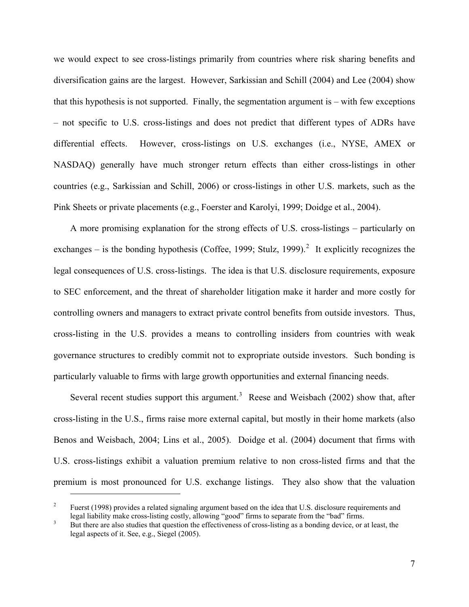we would expect to see cross-listings primarily from countries where risk sharing benefits and diversification gains are the largest. However, Sarkissian and Schill (2004) and Lee (2004) show that this hypothesis is not supported. Finally, the segmentation argument is – with few exceptions – not specific to U.S. cross-listings and does not predict that different types of ADRs have differential effects. However, cross-listings on U.S. exchanges (i.e., NYSE, AMEX or NASDAQ) generally have much stronger return effects than either cross-listings in other countries (e.g., Sarkissian and Schill, 2006) or cross-listings in other U.S. markets, such as the Pink Sheets or private placements (e.g., Foerster and Karolyi, 1999; Doidge et al., 2004).

A more promising explanation for the strong effects of U.S. cross-listings – particularly on exchanges – is the bonding hypothesis (Coffee, 1999; Stulz, 1999).<sup>[2](#page-8-0)</sup> It explicitly recognizes the legal consequences of U.S. cross-listings. The idea is that U.S. disclosure requirements, exposure to SEC enforcement, and the threat of shareholder litigation make it harder and more costly for controlling owners and managers to extract private control benefits from outside investors. Thus, cross-listing in the U.S. provides a means to controlling insiders from countries with weak governance structures to credibly commit not to expropriate outside investors. Such bonding is particularly valuable to firms with large growth opportunities and external financing needs.

Several recent studies support this argument.<sup>[3](#page-8-1)</sup> Reese and Weisbach (2002) show that, after cross-listing in the U.S., firms raise more external capital, but mostly in their home markets (also Benos and Weisbach, 2004; Lins et al., 2005). Doidge et al. (2004) document that firms with U.S. cross-listings exhibit a valuation premium relative to non cross-listed firms and that the premium is most pronounced for U.S. exchange listings. They also show that the valuation

<span id="page-8-0"></span><sup>2</sup> Fuerst (1998) provides a related signaling argument based on the idea that U.S. disclosure requirements and legal liability make cross-listing costly, allowing "good" firms to separate from the "bad" firms. 3

<span id="page-8-1"></span>But there are also studies that question the effectiveness of cross-listing as a bonding device, or at least, the legal aspects of it. See, e.g., Siegel (2005).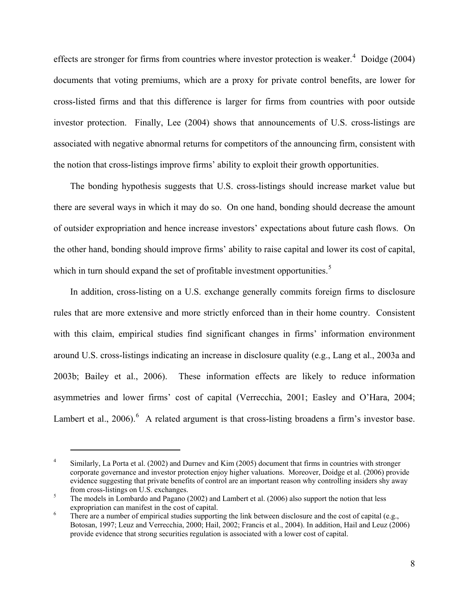effects are stronger for firms from countries where investor protection is weaker. $4$  Doidge (2004) documents that voting premiums, which are a proxy for private control benefits, are lower for cross-listed firms and that this difference is larger for firms from countries with poor outside investor protection. Finally, Lee (2004) shows that announcements of U.S. cross-listings are associated with negative abnormal returns for competitors of the announcing firm, consistent with the notion that cross-listings improve firms' ability to exploit their growth opportunities.

The bonding hypothesis suggests that U.S. cross-listings should increase market value but there are several ways in which it may do so. On one hand, bonding should decrease the amount of outsider expropriation and hence increase investors' expectations about future cash flows. On the other hand, bonding should improve firms' ability to raise capital and lower its cost of capital, which in turn should expand the set of profitable investment opportunities.<sup>[5](#page-9-1)</sup>

In addition, cross-listing on a U.S. exchange generally commits foreign firms to disclosure rules that are more extensive and more strictly enforced than in their home country. Consistent with this claim, empirical studies find significant changes in firms' information environment around U.S. cross-listings indicating an increase in disclosure quality (e.g., Lang et al., 2003a and 2003b; Bailey et al., 2006). These information effects are likely to reduce information asymmetries and lower firms' cost of capital (Verrecchia, 2001; Easley and O'Hara, 2004; Lambert et al.,  $2006$  $2006$ .<sup>6</sup> A related argument is that cross-listing broadens a firm's investor base.

<span id="page-9-0"></span><sup>4</sup> Similarly, La Porta et al. (2002) and Durnev and Kim (2005) document that firms in countries with stronger corporate governance and investor protection enjoy higher valuations. Moreover, Doidge et al. (2006) provide evidence suggesting that private benefits of control are an important reason why controlling insiders shy away from cross-listings on U.S. exchanges.

<span id="page-9-1"></span>The models in Lombardo and Pagano (2002) and Lambert et al. (2006) also support the notion that less expropriation can manifest in the cost of capital.

<span id="page-9-2"></span>There are a number of empirical studies supporting the link between disclosure and the cost of capital (e.g., Botosan, 1997; Leuz and Verrecchia, 2000; Hail, 2002; Francis et al., 2004). In addition, Hail and Leuz (2006) provide evidence that strong securities regulation is associated with a lower cost of capital.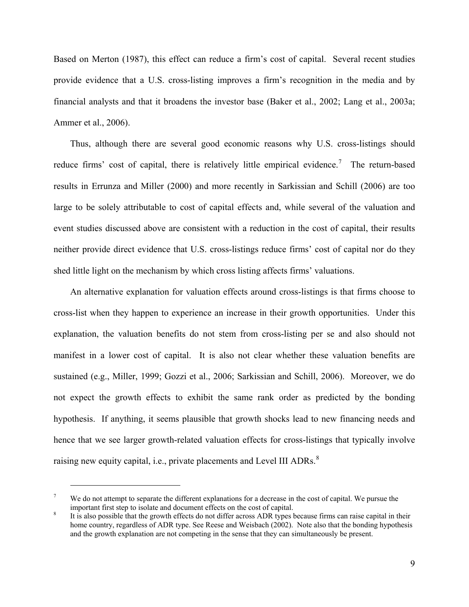Based on Merton (1987), this effect can reduce a firm's cost of capital. Several recent studies provide evidence that a U.S. cross-listing improves a firm's recognition in the media and by financial analysts and that it broadens the investor base (Baker et al., 2002; Lang et al., 2003a; Ammer et al., 2006).

Thus, although there are several good economic reasons why U.S. cross-listings should reduce firms' cost of capital, there is relatively little empirical evidence.<sup>[7](#page-10-0)</sup> The return-based results in Errunza and Miller (2000) and more recently in Sarkissian and Schill (2006) are too large to be solely attributable to cost of capital effects and, while several of the valuation and event studies discussed above are consistent with a reduction in the cost of capital, their results neither provide direct evidence that U.S. cross-listings reduce firms' cost of capital nor do they shed little light on the mechanism by which cross listing affects firms' valuations.

An alternative explanation for valuation effects around cross-listings is that firms choose to cross-list when they happen to experience an increase in their growth opportunities. Under this explanation, the valuation benefits do not stem from cross-listing per se and also should not manifest in a lower cost of capital. It is also not clear whether these valuation benefits are sustained (e.g., Miller, 1999; Gozzi et al., 2006; Sarkissian and Schill, 2006). Moreover, we do not expect the growth effects to exhibit the same rank order as predicted by the bonding hypothesis. If anything, it seems plausible that growth shocks lead to new financing needs and hence that we see larger growth-related valuation effects for cross-listings that typically involve raising new equity capital, i.e., private placements and Level III ADRs.<sup>[8](#page-10-1)</sup>

<span id="page-10-0"></span><sup>7</sup> We do not attempt to separate the different explanations for a decrease in the cost of capital. We pursue the important first step to isolate and document effects on the cost of capital. 8

<span id="page-10-1"></span>It is also possible that the growth effects do not differ across ADR types because firms can raise capital in their home country, regardless of ADR type. See Reese and Weisbach (2002). Note also that the bonding hypothesis and the growth explanation are not competing in the sense that they can simultaneously be present.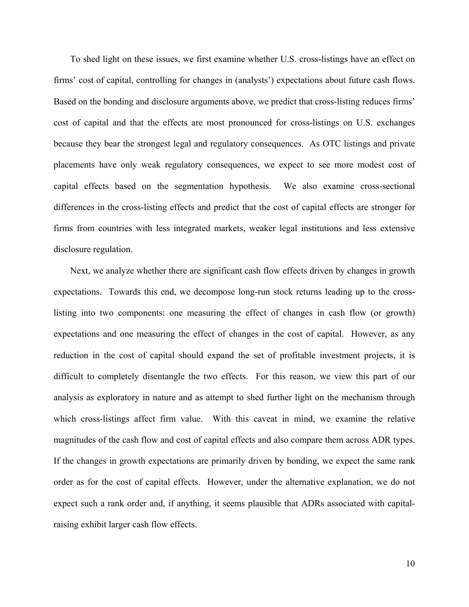To shed light on these issues, we first examine whether U.S. cross-listings have an effect on firms' cost of capital, controlling for changes in (analysts') expectations about future cash flows. Based on the bonding and disclosure arguments above, we predict that cross-listing reduces firms' cost of capital and that the effects are most pronounced for cross-listings on U.S. exchanges because they bear the strongest legal and regulatory consequences. As OTC listings and private placements have only weak regulatory consequences, we expect to see more modest cost of capital effects based on the segmentation hypothesis. We also examine cross-sectional differences in the cross-listing effects and predict that the cost of capital effects are stronger for firms from countries with less integrated markets, weaker legal institutions and less extensive disclosure regulation.

Next, we analyze whether there are significant cash flow effects driven by changes in growth expectations. Towards this end, we decompose long-run stock returns leading up to the crosslisting into two components: one measuring the effect of changes in cash flow (or growth) expectations and one measuring the effect of changes in the cost of capital. However, as any reduction in the cost of capital should expand the set of profitable investment projects, it is difficult to completely disentangle the two effects. For this reason, we view this part of our analysis as exploratory in nature and as attempt to shed further light on the mechanism through which cross-listings affect firm value. With this caveat in mind, we examine the relative magnitudes of the cash flow and cost of capital effects and also compare them across ADR types. If the changes in growth expectations are primarily driven by bonding, we expect the same rank order as for the cost of capital effects. However, under the alternative explanation, we do not expect such a rank order and, if anything, it seems plausible that ADRs associated with capitalraising exhibit larger cash flow effects.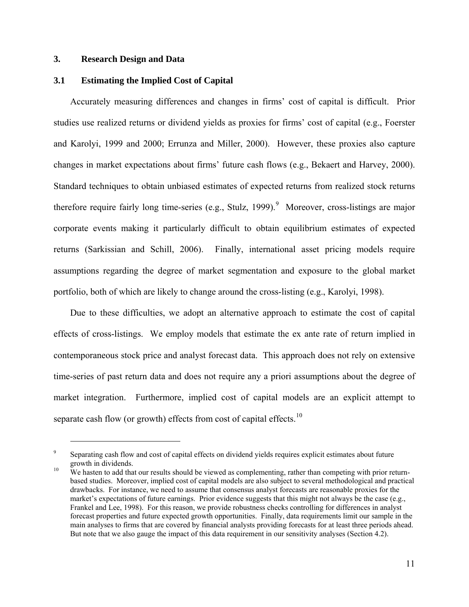# **3. Research Design and Data**

 $\overline{a}$ 

# **3.1 Estimating the Implied Cost of Capital**

Accurately measuring differences and changes in firms' cost of capital is difficult. Prior studies use realized returns or dividend yields as proxies for firms' cost of capital (e.g., Foerster and Karolyi, 1999 and 2000; Errunza and Miller, 2000). However, these proxies also capture changes in market expectations about firms' future cash flows (e.g., Bekaert and Harvey, 2000). Standard techniques to obtain unbiased estimates of expected returns from realized stock returns therefore require fairly long time-series (e.g., Stulz, 1[9](#page-12-0)99).<sup>9</sup> Moreover, cross-listings are major corporate events making it particularly difficult to obtain equilibrium estimates of expected returns (Sarkissian and Schill, 2006). Finally, international asset pricing models require assumptions regarding the degree of market segmentation and exposure to the global market portfolio, both of which are likely to change around the cross-listing (e.g., Karolyi, 1998).

Due to these difficulties, we adopt an alternative approach to estimate the cost of capital effects of cross-listings. We employ models that estimate the ex ante rate of return implied in contemporaneous stock price and analyst forecast data. This approach does not rely on extensive time-series of past return data and does not require any a priori assumptions about the degree of market integration. Furthermore, implied cost of capital models are an explicit attempt to separate cash flow (or growth) effects from cost of capital effects.<sup>[10](#page-12-1)</sup>

<span id="page-12-0"></span><sup>9</sup> Separating cash flow and cost of capital effects on dividend yields requires explicit estimates about future growth in dividends.<br><sup>10</sup> We hasten to add that our results should be viewed as complementing, rather than competing with prior return-

<span id="page-12-1"></span>based studies. Moreover, implied cost of capital models are also subject to several methodological and practical drawbacks. For instance, we need to assume that consensus analyst forecasts are reasonable proxies for the market's expectations of future earnings. Prior evidence suggests that this might not always be the case (e.g., Frankel and Lee, 1998). For this reason, we provide robustness checks controlling for differences in analyst forecast properties and future expected growth opportunities. Finally, data requirements limit our sample in the main analyses to firms that are covered by financial analysts providing forecasts for at least three periods ahead. But note that we also gauge the impact of this data requirement in our sensitivity analyses (Section 4.2).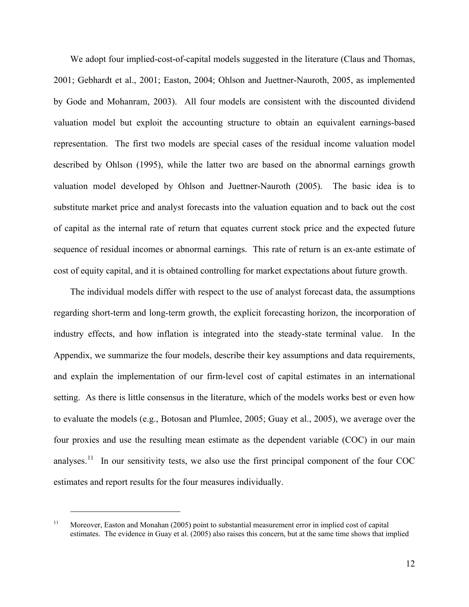We adopt four implied-cost-of-capital models suggested in the literature (Claus and Thomas, 2001; Gebhardt et al., 2001; Easton, 2004; Ohlson and Juettner-Nauroth, 2005, as implemented by Gode and Mohanram, 2003). All four models are consistent with the discounted dividend valuation model but exploit the accounting structure to obtain an equivalent earnings-based representation. The first two models are special cases of the residual income valuation model described by Ohlson (1995), while the latter two are based on the abnormal earnings growth valuation model developed by Ohlson and Juettner-Nauroth (2005). The basic idea is to substitute market price and analyst forecasts into the valuation equation and to back out the cost of capital as the internal rate of return that equates current stock price and the expected future sequence of residual incomes or abnormal earnings. This rate of return is an ex-ante estimate of cost of equity capital, and it is obtained controlling for market expectations about future growth.

The individual models differ with respect to the use of analyst forecast data, the assumptions regarding short-term and long-term growth, the explicit forecasting horizon, the incorporation of industry effects, and how inflation is integrated into the steady-state terminal value. In the Appendix, we summarize the four models, describe their key assumptions and data requirements, and explain the implementation of our firm-level cost of capital estimates in an international setting. As there is little consensus in the literature, which of the models works best or even how to evaluate the models (e.g., Botosan and Plumlee, 2005; Guay et al., 2005), we average over the four proxies and use the resulting mean estimate as the dependent variable (COC) in our main analyses.<sup>[11](#page-13-0)</sup> In our sensitivity tests, we also use the first principal component of the four COC estimates and report results for the four measures individually.

<span id="page-13-0"></span><sup>&</sup>lt;sup>11</sup> Moreover, Easton and Monahan (2005) point to substantial measurement error in implied cost of capital estimates. The evidence in Guay et al. (2005) also raises this concern, but at the same time shows that implied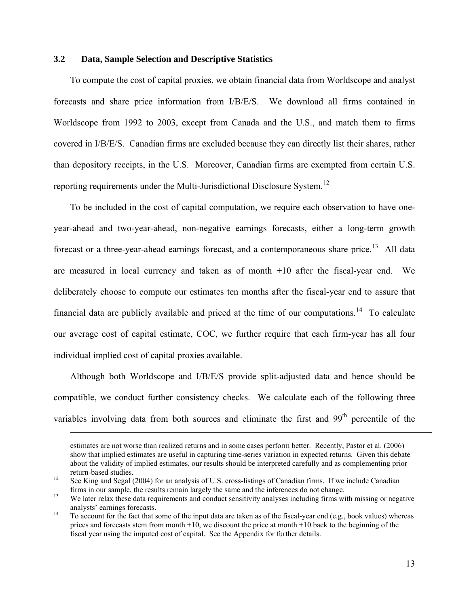# **3.2 Data, Sample Selection and Descriptive Statistics**

 $\overline{a}$ 

To compute the cost of capital proxies, we obtain financial data from Worldscope and analyst forecasts and share price information from I/B/E/S. We download all firms contained in Worldscope from 1992 to 2003, except from Canada and the U.S., and match them to firms covered in I/B/E/S. Canadian firms are excluded because they can directly list their shares, rather than depository receipts, in the U.S. Moreover, Canadian firms are exempted from certain U.S. reporting requirements under the Multi-Jurisdictional Disclosure System.<sup>[12](#page-14-0)</sup>

To be included in the cost of capital computation, we require each observation to have oneyear-ahead and two-year-ahead, non-negative earnings forecasts, either a long-term growth forecast or a three-year-ahead earnings forecast, and a contemporaneous share price.<sup>[13](#page-14-1)</sup> All data are measured in local currency and taken as of month +10 after the fiscal-year end. We deliberately choose to compute our estimates ten months after the fiscal-year end to assure that financial data are publicly available and priced at the time of our computations.<sup>[14](#page-14-2)</sup> To calculate our average cost of capital estimate, COC, we further require that each firm-year has all four individual implied cost of capital proxies available.

Although both Worldscope and I/B/E/S provide split-adjusted data and hence should be compatible, we conduct further consistency checks. We calculate each of the following three variables involving data from both sources and eliminate the first and  $99<sup>th</sup>$  percentile of the

estimates are not worse than realized returns and in some cases perform better. Recently, Pastor et al. (2006) show that implied estimates are useful in capturing time-series variation in expected returns. Given this debate about the validity of implied estimates, our results should be interpreted carefully and as complementing prior return-based studies.<br>
<sup>12</sup> See King and Segal (2004) for an analysis of U.S. cross-listings of Canadian firms. If we include Canadian

<span id="page-14-0"></span>firms in our sample, the results remain largely the same and the inferences do not change.<br><sup>13</sup> We later relax these data requirements and conduct sensitivity analyses including firms with missing or negative

<span id="page-14-1"></span>analysts' earnings forecasts.<br><sup>14</sup> To account for the fact that some of the input data are taken as of the fiscal-year end (e.g., book values) whereas

<span id="page-14-2"></span>prices and forecasts stem from month  $+10$ , we discount the price at month  $+10$  back to the beginning of the fiscal year using the imputed cost of capital. See the Appendix for further details.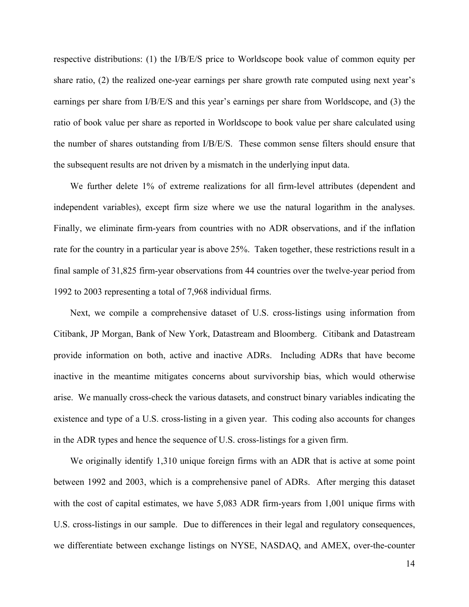respective distributions: (1) the I/B/E/S price to Worldscope book value of common equity per share ratio, (2) the realized one-year earnings per share growth rate computed using next year's earnings per share from I/B/E/S and this year's earnings per share from Worldscope, and (3) the ratio of book value per share as reported in Worldscope to book value per share calculated using the number of shares outstanding from I/B/E/S. These common sense filters should ensure that the subsequent results are not driven by a mismatch in the underlying input data.

We further delete 1% of extreme realizations for all firm-level attributes (dependent and independent variables), except firm size where we use the natural logarithm in the analyses. Finally, we eliminate firm-years from countries with no ADR observations, and if the inflation rate for the country in a particular year is above 25%. Taken together, these restrictions result in a final sample of 31,825 firm-year observations from 44 countries over the twelve-year period from 1992 to 2003 representing a total of 7,968 individual firms.

Next, we compile a comprehensive dataset of U.S. cross-listings using information from Citibank, JP Morgan, Bank of New York, Datastream and Bloomberg. Citibank and Datastream provide information on both, active and inactive ADRs. Including ADRs that have become inactive in the meantime mitigates concerns about survivorship bias, which would otherwise arise. We manually cross-check the various datasets, and construct binary variables indicating the existence and type of a U.S. cross-listing in a given year. This coding also accounts for changes in the ADR types and hence the sequence of U.S. cross-listings for a given firm.

We originally identify 1,310 unique foreign firms with an ADR that is active at some point between 1992 and 2003, which is a comprehensive panel of ADRs. After merging this dataset with the cost of capital estimates, we have 5,083 ADR firm-years from 1,001 unique firms with U.S. cross-listings in our sample. Due to differences in their legal and regulatory consequences, we differentiate between exchange listings on NYSE, NASDAQ, and AMEX, over-the-counter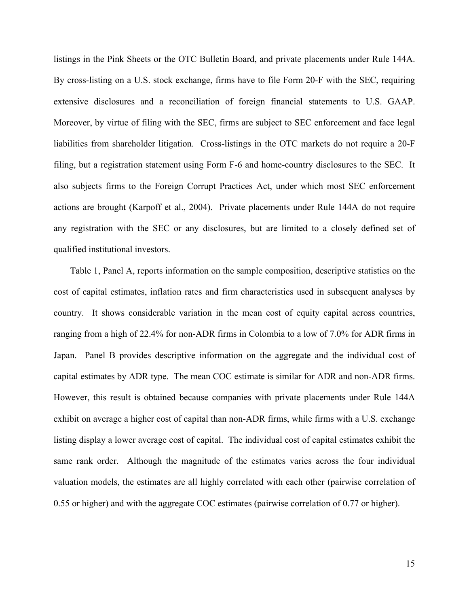listings in the Pink Sheets or the OTC Bulletin Board, and private placements under Rule 144A. By cross-listing on a U.S. stock exchange, firms have to file Form 20-F with the SEC, requiring extensive disclosures and a reconciliation of foreign financial statements to U.S. GAAP. Moreover, by virtue of filing with the SEC, firms are subject to SEC enforcement and face legal liabilities from shareholder litigation. Cross-listings in the OTC markets do not require a 20-F filing, but a registration statement using Form F-6 and home-country disclosures to the SEC. It also subjects firms to the Foreign Corrupt Practices Act, under which most SEC enforcement actions are brought (Karpoff et al., 2004). Private placements under Rule 144A do not require any registration with the SEC or any disclosures, but are limited to a closely defined set of qualified institutional investors.

Table 1, Panel A, reports information on the sample composition, descriptive statistics on the cost of capital estimates, inflation rates and firm characteristics used in subsequent analyses by country. It shows considerable variation in the mean cost of equity capital across countries, ranging from a high of 22.4% for non-ADR firms in Colombia to a low of 7.0% for ADR firms in Japan. Panel B provides descriptive information on the aggregate and the individual cost of capital estimates by ADR type. The mean COC estimate is similar for ADR and non-ADR firms. However, this result is obtained because companies with private placements under Rule 144A exhibit on average a higher cost of capital than non-ADR firms, while firms with a U.S. exchange listing display a lower average cost of capital. The individual cost of capital estimates exhibit the same rank order. Although the magnitude of the estimates varies across the four individual valuation models, the estimates are all highly correlated with each other (pairwise correlation of 0.55 or higher) and with the aggregate COC estimates (pairwise correlation of 0.77 or higher).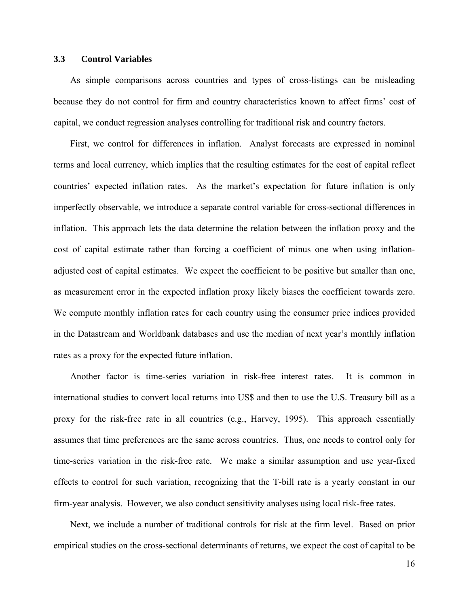### **3.3 Control Variables**

As simple comparisons across countries and types of cross-listings can be misleading because they do not control for firm and country characteristics known to affect firms' cost of capital, we conduct regression analyses controlling for traditional risk and country factors.

First, we control for differences in inflation. Analyst forecasts are expressed in nominal terms and local currency, which implies that the resulting estimates for the cost of capital reflect countries' expected inflation rates. As the market's expectation for future inflation is only imperfectly observable, we introduce a separate control variable for cross-sectional differences in inflation. This approach lets the data determine the relation between the inflation proxy and the cost of capital estimate rather than forcing a coefficient of minus one when using inflationadjusted cost of capital estimates. We expect the coefficient to be positive but smaller than one, as measurement error in the expected inflation proxy likely biases the coefficient towards zero. We compute monthly inflation rates for each country using the consumer price indices provided in the Datastream and Worldbank databases and use the median of next year's monthly inflation rates as a proxy for the expected future inflation.

Another factor is time-series variation in risk-free interest rates. It is common in international studies to convert local returns into US\$ and then to use the U.S. Treasury bill as a proxy for the risk-free rate in all countries (e.g., Harvey, 1995). This approach essentially assumes that time preferences are the same across countries. Thus, one needs to control only for time-series variation in the risk-free rate. We make a similar assumption and use year-fixed effects to control for such variation, recognizing that the T-bill rate is a yearly constant in our firm-year analysis. However, we also conduct sensitivity analyses using local risk-free rates.

Next, we include a number of traditional controls for risk at the firm level. Based on prior empirical studies on the cross-sectional determinants of returns, we expect the cost of capital to be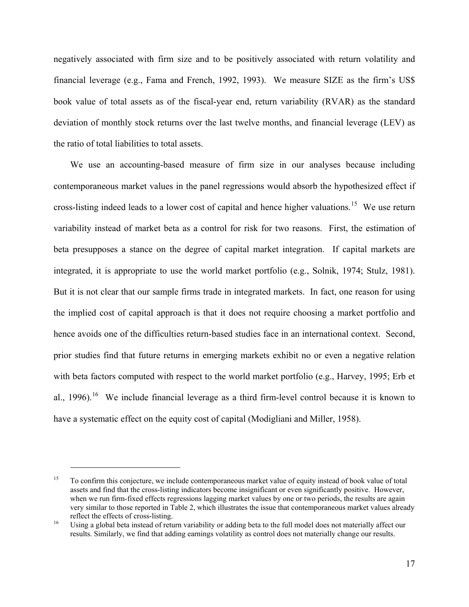negatively associated with firm size and to be positively associated with return volatility and financial leverage (e.g., Fama and French, 1992, 1993). We measure SIZE as the firm's US\$ book value of total assets as of the fiscal-year end, return variability (RVAR) as the standard deviation of monthly stock returns over the last twelve months, and financial leverage (LEV) as the ratio of total liabilities to total assets.

We use an accounting-based measure of firm size in our analyses because including contemporaneous market values in the panel regressions would absorb the hypothesized effect if cross-listing indeed leads to a lower cost of capital and hence higher valuations.<sup>[15](#page-18-0)</sup> We use return variability instead of market beta as a control for risk for two reasons. First, the estimation of beta presupposes a stance on the degree of capital market integration. If capital markets are integrated, it is appropriate to use the world market portfolio (e.g., Solnik, 1974; Stulz, 1981). But it is not clear that our sample firms trade in integrated markets. In fact, one reason for using the implied cost of capital approach is that it does not require choosing a market portfolio and hence avoids one of the difficulties return-based studies face in an international context. Second, prior studies find that future returns in emerging markets exhibit no or even a negative relation with beta factors computed with respect to the world market portfolio (e.g., Harvey, 1995; Erb et al., 1996).<sup>[16](#page-18-1)</sup> We include financial leverage as a third firm-level control because it is known to have a systematic effect on the equity cost of capital (Modigliani and Miller, 1958).

<span id="page-18-0"></span><sup>&</sup>lt;sup>15</sup> To confirm this conjecture, we include contemporaneous market value of equity instead of book value of total assets and find that the cross-listing indicators become insignificant or even significantly positive. However, when we run firm-fixed effects regressions lagging market values by one or two periods, the results are again very similar to those reported in Table 2, which illustrates the issue that contemporaneous market values already reflect the effects of cross-listing.<br><sup>16</sup> Using a global beta instead of return variability or adding beta to the full model does not materially affect our

<span id="page-18-1"></span>results. Similarly, we find that adding earnings volatility as control does not materially change our results.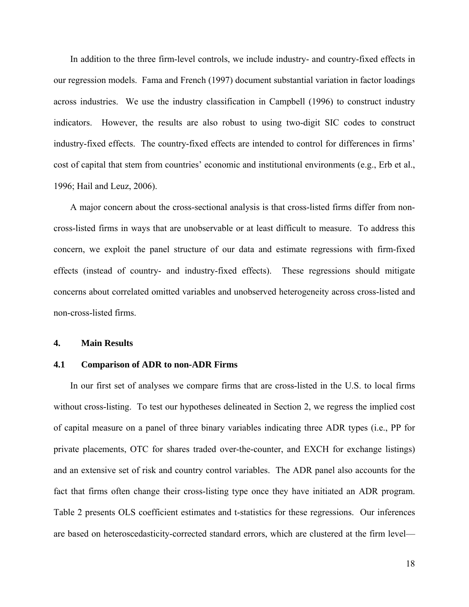In addition to the three firm-level controls, we include industry- and country-fixed effects in our regression models. Fama and French (1997) document substantial variation in factor loadings across industries. We use the industry classification in Campbell (1996) to construct industry indicators. However, the results are also robust to using two-digit SIC codes to construct industry-fixed effects. The country-fixed effects are intended to control for differences in firms' cost of capital that stem from countries' economic and institutional environments (e.g., Erb et al., 1996; Hail and Leuz, 2006).

A major concern about the cross-sectional analysis is that cross-listed firms differ from noncross-listed firms in ways that are unobservable or at least difficult to measure. To address this concern, we exploit the panel structure of our data and estimate regressions with firm-fixed effects (instead of country- and industry-fixed effects). These regressions should mitigate concerns about correlated omitted variables and unobserved heterogeneity across cross-listed and non-cross-listed firms.

### **4. Main Results**

### **4.1 Comparison of ADR to non-ADR Firms**

In our first set of analyses we compare firms that are cross-listed in the U.S. to local firms without cross-listing. To test our hypotheses delineated in Section 2, we regress the implied cost of capital measure on a panel of three binary variables indicating three ADR types (i.e., PP for private placements, OTC for shares traded over-the-counter, and EXCH for exchange listings) and an extensive set of risk and country control variables. The ADR panel also accounts for the fact that firms often change their cross-listing type once they have initiated an ADR program. Table 2 presents OLS coefficient estimates and t-statistics for these regressions. Our inferences are based on heteroscedasticity-corrected standard errors, which are clustered at the firm level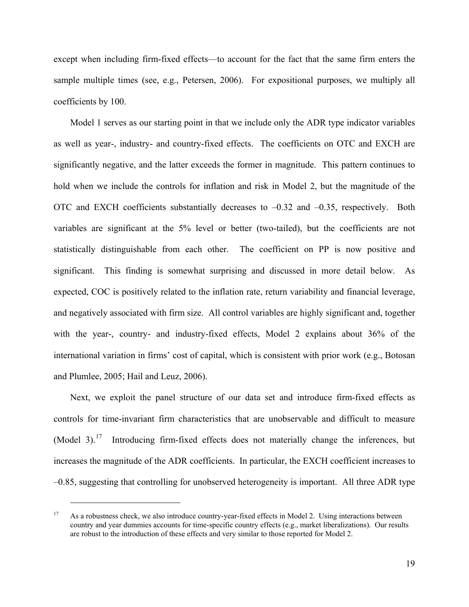except when including firm-fixed effects—to account for the fact that the same firm enters the sample multiple times (see, e.g., Petersen, 2006). For expositional purposes, we multiply all coefficients by 100.

Model 1 serves as our starting point in that we include only the ADR type indicator variables as well as year-, industry- and country-fixed effects. The coefficients on OTC and EXCH are significantly negative, and the latter exceeds the former in magnitude. This pattern continues to hold when we include the controls for inflation and risk in Model 2, but the magnitude of the OTC and EXCH coefficients substantially decreases to –0.32 and –0.35, respectively. Both variables are significant at the 5% level or better (two-tailed), but the coefficients are not statistically distinguishable from each other. The coefficient on PP is now positive and significant. This finding is somewhat surprising and discussed in more detail below. As expected, COC is positively related to the inflation rate, return variability and financial leverage, and negatively associated with firm size. All control variables are highly significant and, together with the year-, country- and industry-fixed effects, Model 2 explains about 36% of the international variation in firms' cost of capital, which is consistent with prior work (e.g., Botosan and Plumlee, 2005; Hail and Leuz, 2006).

Next, we exploit the panel structure of our data set and introduce firm-fixed effects as controls for time-invariant firm characteristics that are unobservable and difficult to measure (Model 3).<sup>[17](#page-20-0)</sup> Introducing firm-fixed effects does not materially change the inferences, but increases the magnitude of the ADR coefficients. In particular, the EXCH coefficient increases to –0.85, suggesting that controlling for unobserved heterogeneity is important. All three ADR type

<span id="page-20-0"></span><sup>&</sup>lt;sup>17</sup> As a robustness check, we also introduce country-year-fixed effects in Model 2. Using interactions between country and year dummies accounts for time-specific country effects (e.g., market liberalizations). Our results are robust to the introduction of these effects and very similar to those reported for Model 2.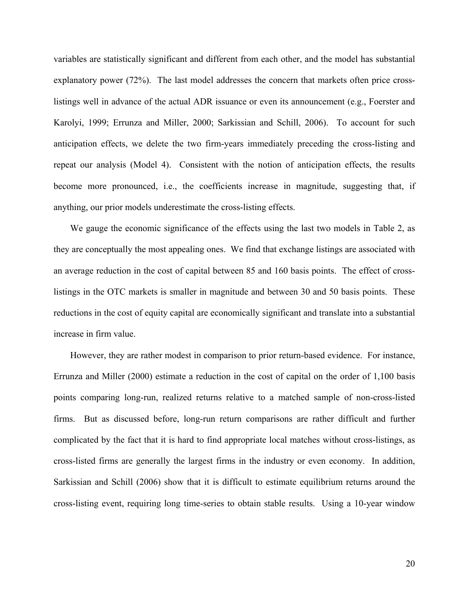variables are statistically significant and different from each other, and the model has substantial explanatory power (72%). The last model addresses the concern that markets often price crosslistings well in advance of the actual ADR issuance or even its announcement (e.g., Foerster and Karolyi, 1999; Errunza and Miller, 2000; Sarkissian and Schill, 2006). To account for such anticipation effects, we delete the two firm-years immediately preceding the cross-listing and repeat our analysis (Model 4). Consistent with the notion of anticipation effects, the results become more pronounced, i.e., the coefficients increase in magnitude, suggesting that, if anything, our prior models underestimate the cross-listing effects.

We gauge the economic significance of the effects using the last two models in Table 2, as they are conceptually the most appealing ones. We find that exchange listings are associated with an average reduction in the cost of capital between 85 and 160 basis points. The effect of crosslistings in the OTC markets is smaller in magnitude and between 30 and 50 basis points. These reductions in the cost of equity capital are economically significant and translate into a substantial increase in firm value.

However, they are rather modest in comparison to prior return-based evidence. For instance, Errunza and Miller (2000) estimate a reduction in the cost of capital on the order of 1,100 basis points comparing long-run, realized returns relative to a matched sample of non-cross-listed firms. But as discussed before, long-run return comparisons are rather difficult and further complicated by the fact that it is hard to find appropriate local matches without cross-listings, as cross-listed firms are generally the largest firms in the industry or even economy. In addition, Sarkissian and Schill (2006) show that it is difficult to estimate equilibrium returns around the cross-listing event, requiring long time-series to obtain stable results. Using a 10-year window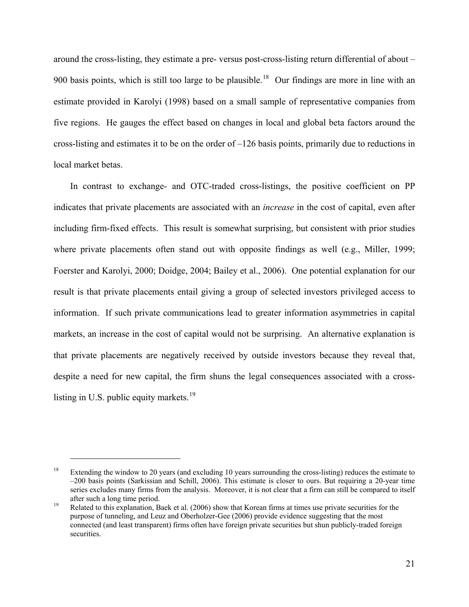around the cross-listing, they estimate a pre- versus post-cross-listing return differential of about – 900 basis points, which is still too large to be plausible.<sup>[18](#page-22-0)</sup> Our findings are more in line with an estimate provided in Karolyi (1998) based on a small sample of representative companies from five regions. He gauges the effect based on changes in local and global beta factors around the cross-listing and estimates it to be on the order of –126 basis points, primarily due to reductions in local market betas.

In contrast to exchange- and OTC-traded cross-listings, the positive coefficient on PP indicates that private placements are associated with an *increase* in the cost of capital, even after including firm-fixed effects. This result is somewhat surprising, but consistent with prior studies where private placements often stand out with opposite findings as well (e.g., Miller, 1999; Foerster and Karolyi, 2000; Doidge, 2004; Bailey et al., 2006). One potential explanation for our result is that private placements entail giving a group of selected investors privileged access to information. If such private communications lead to greater information asymmetries in capital markets, an increase in the cost of capital would not be surprising. An alternative explanation is that private placements are negatively received by outside investors because they reveal that, despite a need for new capital, the firm shuns the legal consequences associated with a cross-listing in U.S. public equity markets.<sup>[19](#page-22-1)</sup>

<span id="page-22-0"></span><sup>&</sup>lt;sup>18</sup> Extending the window to 20 years (and excluding 10 years surrounding the cross-listing) reduces the estimate to –200 basis points (Sarkissian and Schill, 2006). This estimate is closer to ours. But requiring a 20-year time series excludes many firms from the analysis. Moreover, it is not clear that a firm can still be compared to itself after such a long time period.<br><sup>19</sup> Related to this explanation, Baek et al. (2006) show that Korean firms at times use private securities for the

<span id="page-22-1"></span>purpose of tunneling, and Leuz and Oberholzer-Gee (2006) provide evidence suggesting that the most connected (and least transparent) firms often have foreign private securities but shun publicly-traded foreign securities.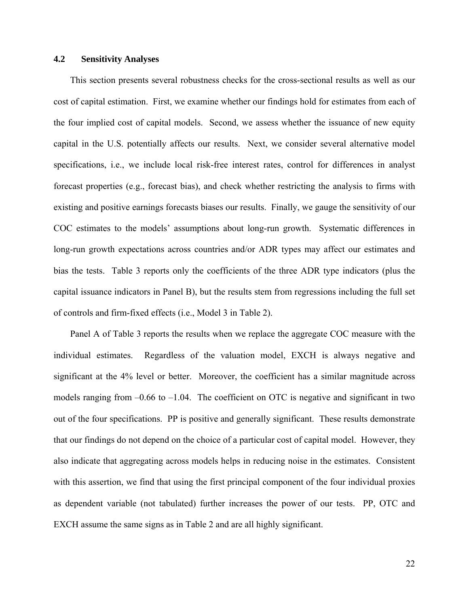### **4.2 Sensitivity Analyses**

This section presents several robustness checks for the cross-sectional results as well as our cost of capital estimation. First, we examine whether our findings hold for estimates from each of the four implied cost of capital models. Second, we assess whether the issuance of new equity capital in the U.S. potentially affects our results. Next, we consider several alternative model specifications, i.e., we include local risk-free interest rates, control for differences in analyst forecast properties (e.g., forecast bias), and check whether restricting the analysis to firms with existing and positive earnings forecasts biases our results. Finally, we gauge the sensitivity of our COC estimates to the models' assumptions about long-run growth. Systematic differences in long-run growth expectations across countries and/or ADR types may affect our estimates and bias the tests. Table 3 reports only the coefficients of the three ADR type indicators (plus the capital issuance indicators in Panel B), but the results stem from regressions including the full set of controls and firm-fixed effects (i.e., Model 3 in Table 2).

Panel A of Table 3 reports the results when we replace the aggregate COC measure with the individual estimates. Regardless of the valuation model, EXCH is always negative and significant at the 4% level or better. Moreover, the coefficient has a similar magnitude across models ranging from  $-0.66$  to  $-1.04$ . The coefficient on OTC is negative and significant in two out of the four specifications. PP is positive and generally significant. These results demonstrate that our findings do not depend on the choice of a particular cost of capital model. However, they also indicate that aggregating across models helps in reducing noise in the estimates. Consistent with this assertion, we find that using the first principal component of the four individual proxies as dependent variable (not tabulated) further increases the power of our tests. PP, OTC and EXCH assume the same signs as in Table 2 and are all highly significant.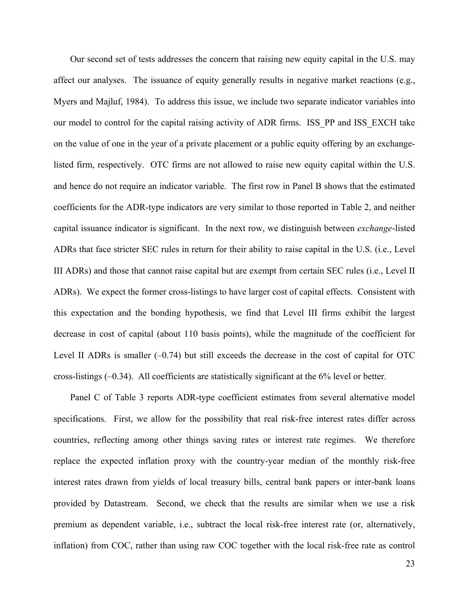Our second set of tests addresses the concern that raising new equity capital in the U.S. may affect our analyses. The issuance of equity generally results in negative market reactions (e.g., Myers and Majluf, 1984). To address this issue, we include two separate indicator variables into our model to control for the capital raising activity of ADR firms. ISS\_PP and ISS\_EXCH take on the value of one in the year of a private placement or a public equity offering by an exchangelisted firm, respectively. OTC firms are not allowed to raise new equity capital within the U.S. and hence do not require an indicator variable. The first row in Panel B shows that the estimated coefficients for the ADR-type indicators are very similar to those reported in Table 2, and neither capital issuance indicator is significant. In the next row, we distinguish between *exchange*-listed ADRs that face stricter SEC rules in return for their ability to raise capital in the U.S. (i.e., Level III ADRs) and those that cannot raise capital but are exempt from certain SEC rules (i.e., Level II ADRs). We expect the former cross-listings to have larger cost of capital effects. Consistent with this expectation and the bonding hypothesis, we find that Level III firms exhibit the largest decrease in cost of capital (about 110 basis points), while the magnitude of the coefficient for Level II ADRs is smaller  $(-0.74)$  but still exceeds the decrease in the cost of capital for OTC cross-listings  $(-0.34)$ . All coefficients are statistically significant at the 6% level or better.

Panel C of Table 3 reports ADR-type coefficient estimates from several alternative model specifications. First, we allow for the possibility that real risk-free interest rates differ across countries, reflecting among other things saving rates or interest rate regimes. We therefore replace the expected inflation proxy with the country-year median of the monthly risk-free interest rates drawn from yields of local treasury bills, central bank papers or inter-bank loans provided by Datastream. Second, we check that the results are similar when we use a risk premium as dependent variable, i.e., subtract the local risk-free interest rate (or, alternatively, inflation) from COC, rather than using raw COC together with the local risk-free rate as control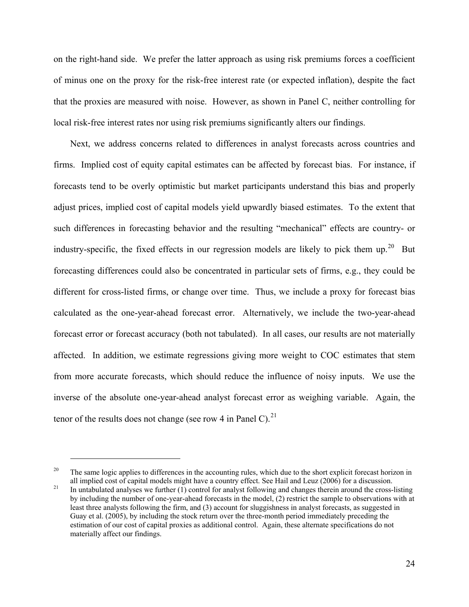on the right-hand side. We prefer the latter approach as using risk premiums forces a coefficient of minus one on the proxy for the risk-free interest rate (or expected inflation), despite the fact that the proxies are measured with noise. However, as shown in Panel C, neither controlling for local risk-free interest rates nor using risk premiums significantly alters our findings.

Next, we address concerns related to differences in analyst forecasts across countries and firms. Implied cost of equity capital estimates can be affected by forecast bias. For instance, if forecasts tend to be overly optimistic but market participants understand this bias and properly adjust prices, implied cost of capital models yield upwardly biased estimates. To the extent that such differences in forecasting behavior and the resulting "mechanical" effects are country- or industry-specific, the fixed effects in our regression models are likely to pick them up.<sup>[20](#page-25-0)</sup> But forecasting differences could also be concentrated in particular sets of firms, e.g., they could be different for cross-listed firms, or change over time. Thus, we include a proxy for forecast bias calculated as the one-year-ahead forecast error. Alternatively, we include the two-year-ahead forecast error or forecast accuracy (both not tabulated). In all cases, our results are not materially affected. In addition, we estimate regressions giving more weight to COC estimates that stem from more accurate forecasts, which should reduce the influence of noisy inputs. We use the inverse of the absolute one-year-ahead analyst forecast error as weighing variable. Again, the tenor of the results does not change (see row 4 in Panel C).<sup>[21](#page-25-1)</sup>

<span id="page-25-0"></span><sup>&</sup>lt;sup>20</sup> The same logic applies to differences in the accounting rules, which due to the short explicit forecast horizon in all implied cost of capital models might have a country effect. See Hail and Leuz  $(2006)$  for a disc

<span id="page-25-1"></span><sup>&</sup>lt;sup>21</sup> In untabulated analyses we further (1) control for analyst following and changes therein around the cross-listing by including the number of one-year-ahead forecasts in the model, (2) restrict the sample to observations with at least three analysts following the firm, and (3) account for sluggishness in analyst forecasts, as suggested in Guay et al. (2005), by including the stock return over the three-month period immediately preceding the estimation of our cost of capital proxies as additional control. Again, these alternate specifications do not materially affect our findings.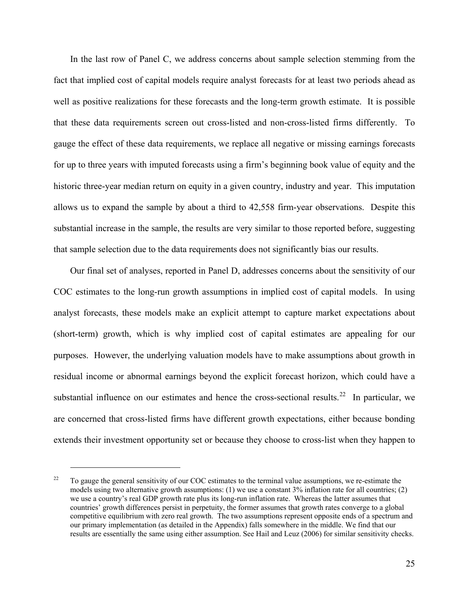In the last row of Panel C, we address concerns about sample selection stemming from the fact that implied cost of capital models require analyst forecasts for at least two periods ahead as well as positive realizations for these forecasts and the long-term growth estimate. It is possible that these data requirements screen out cross-listed and non-cross-listed firms differently. To gauge the effect of these data requirements, we replace all negative or missing earnings forecasts for up to three years with imputed forecasts using a firm's beginning book value of equity and the historic three-year median return on equity in a given country, industry and year. This imputation allows us to expand the sample by about a third to 42,558 firm-year observations. Despite this substantial increase in the sample, the results are very similar to those reported before, suggesting that sample selection due to the data requirements does not significantly bias our results.

Our final set of analyses, reported in Panel D, addresses concerns about the sensitivity of our COC estimates to the long-run growth assumptions in implied cost of capital models. In using analyst forecasts, these models make an explicit attempt to capture market expectations about (short-term) growth, which is why implied cost of capital estimates are appealing for our purposes. However, the underlying valuation models have to make assumptions about growth in residual income or abnormal earnings beyond the explicit forecast horizon, which could have a substantial influence on our estimates and hence the cross-sectional results.<sup>[22](#page-26-0)</sup> In particular, we are concerned that cross-listed firms have different growth expectations, either because bonding extends their investment opportunity set or because they choose to cross-list when they happen to

<span id="page-26-0"></span><sup>&</sup>lt;sup>22</sup> To gauge the general sensitivity of our COC estimates to the terminal value assumptions, we re-estimate the models using two alternative growth assumptions: (1) we use a constant 3% inflation rate for all countries; (2) we use a country's real GDP growth rate plus its long-run inflation rate. Whereas the latter assumes that countries' growth differences persist in perpetuity, the former assumes that growth rates converge to a global competitive equilibrium with zero real growth. The two assumptions represent opposite ends of a spectrum and our primary implementation (as detailed in the Appendix) falls somewhere in the middle. We find that our results are essentially the same using either assumption. See Hail and Leuz (2006) for similar sensitivity checks.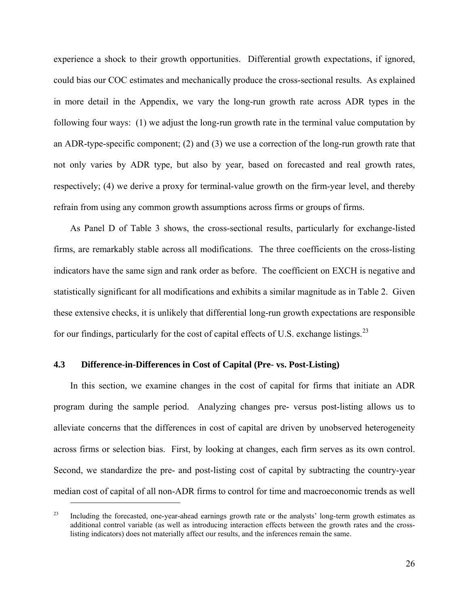experience a shock to their growth opportunities. Differential growth expectations, if ignored, could bias our COC estimates and mechanically produce the cross-sectional results. As explained in more detail in the Appendix, we vary the long-run growth rate across ADR types in the following four ways: (1) we adjust the long-run growth rate in the terminal value computation by an ADR-type-specific component; (2) and (3) we use a correction of the long-run growth rate that not only varies by ADR type, but also by year, based on forecasted and real growth rates, respectively; (4) we derive a proxy for terminal-value growth on the firm-year level, and thereby refrain from using any common growth assumptions across firms or groups of firms.

As Panel D of Table 3 shows, the cross-sectional results, particularly for exchange-listed firms, are remarkably stable across all modifications. The three coefficients on the cross-listing indicators have the same sign and rank order as before. The coefficient on EXCH is negative and statistically significant for all modifications and exhibits a similar magnitude as in Table 2. Given these extensive checks, it is unlikely that differential long-run growth expectations are responsible for our findings, particularly for the cost of capital effects of U.S. exchange listings.<sup>[23](#page-27-0)</sup>

# **4.3 Difference-in-Differences in Cost of Capital (Pre- vs. Post-Listing)**

 $\overline{a}$ 

In this section, we examine changes in the cost of capital for firms that initiate an ADR program during the sample period. Analyzing changes pre- versus post-listing allows us to alleviate concerns that the differences in cost of capital are driven by unobserved heterogeneity across firms or selection bias. First, by looking at changes, each firm serves as its own control. Second, we standardize the pre- and post-listing cost of capital by subtracting the country-year median cost of capital of all non-ADR firms to control for time and macroeconomic trends as well

<span id="page-27-0"></span><sup>&</sup>lt;sup>23</sup> Including the forecasted, one-year-ahead earnings growth rate or the analysts' long-term growth estimates as additional control variable (as well as introducing interaction effects between the growth rates and the crosslisting indicators) does not materially affect our results, and the inferences remain the same.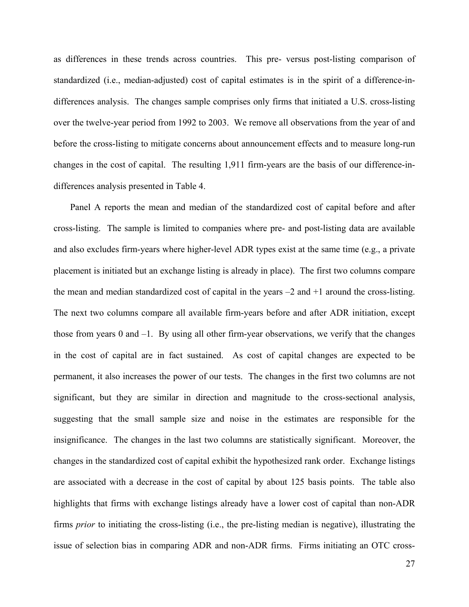as differences in these trends across countries. This pre- versus post-listing comparison of standardized (i.e., median-adjusted) cost of capital estimates is in the spirit of a difference-indifferences analysis. The changes sample comprises only firms that initiated a U.S. cross-listing over the twelve-year period from 1992 to 2003. We remove all observations from the year of and before the cross-listing to mitigate concerns about announcement effects and to measure long-run changes in the cost of capital. The resulting 1,911 firm-years are the basis of our difference-indifferences analysis presented in Table 4.

Panel A reports the mean and median of the standardized cost of capital before and after cross-listing. The sample is limited to companies where pre- and post-listing data are available and also excludes firm-years where higher-level ADR types exist at the same time (e.g., a private placement is initiated but an exchange listing is already in place). The first two columns compare the mean and median standardized cost of capital in the years  $-2$  and  $+1$  around the cross-listing. The next two columns compare all available firm-years before and after ADR initiation, except those from years 0 and  $-1$ . By using all other firm-year observations, we verify that the changes in the cost of capital are in fact sustained. As cost of capital changes are expected to be permanent, it also increases the power of our tests. The changes in the first two columns are not significant, but they are similar in direction and magnitude to the cross-sectional analysis, suggesting that the small sample size and noise in the estimates are responsible for the insignificance. The changes in the last two columns are statistically significant. Moreover, the changes in the standardized cost of capital exhibit the hypothesized rank order. Exchange listings are associated with a decrease in the cost of capital by about 125 basis points. The table also highlights that firms with exchange listings already have a lower cost of capital than non-ADR firms *prior* to initiating the cross-listing (i.e., the pre-listing median is negative), illustrating the issue of selection bias in comparing ADR and non-ADR firms. Firms initiating an OTC cross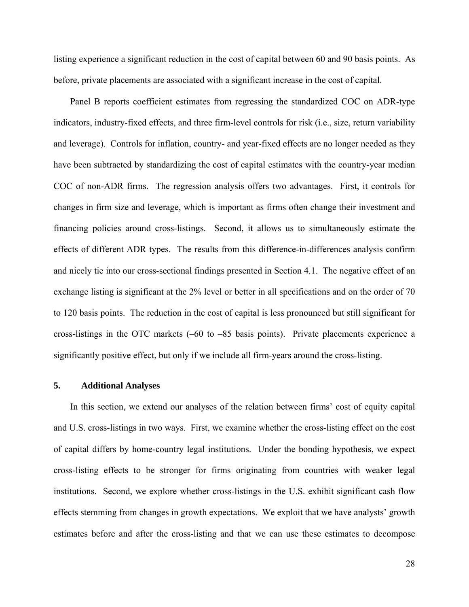listing experience a significant reduction in the cost of capital between 60 and 90 basis points. As before, private placements are associated with a significant increase in the cost of capital.

Panel B reports coefficient estimates from regressing the standardized COC on ADR-type indicators, industry-fixed effects, and three firm-level controls for risk (i.e., size, return variability and leverage). Controls for inflation, country- and year-fixed effects are no longer needed as they have been subtracted by standardizing the cost of capital estimates with the country-year median COC of non-ADR firms. The regression analysis offers two advantages. First, it controls for changes in firm size and leverage, which is important as firms often change their investment and financing policies around cross-listings. Second, it allows us to simultaneously estimate the effects of different ADR types. The results from this difference-in-differences analysis confirm and nicely tie into our cross-sectional findings presented in Section 4.1. The negative effect of an exchange listing is significant at the 2% level or better in all specifications and on the order of 70 to 120 basis points. The reduction in the cost of capital is less pronounced but still significant for cross-listings in the OTC markets (–60 to –85 basis points). Private placements experience a significantly positive effect, but only if we include all firm-years around the cross-listing.

### **5. Additional Analyses**

In this section, we extend our analyses of the relation between firms' cost of equity capital and U.S. cross-listings in two ways. First, we examine whether the cross-listing effect on the cost of capital differs by home-country legal institutions. Under the bonding hypothesis, we expect cross-listing effects to be stronger for firms originating from countries with weaker legal institutions. Second, we explore whether cross-listings in the U.S. exhibit significant cash flow effects stemming from changes in growth expectations. We exploit that we have analysts' growth estimates before and after the cross-listing and that we can use these estimates to decompose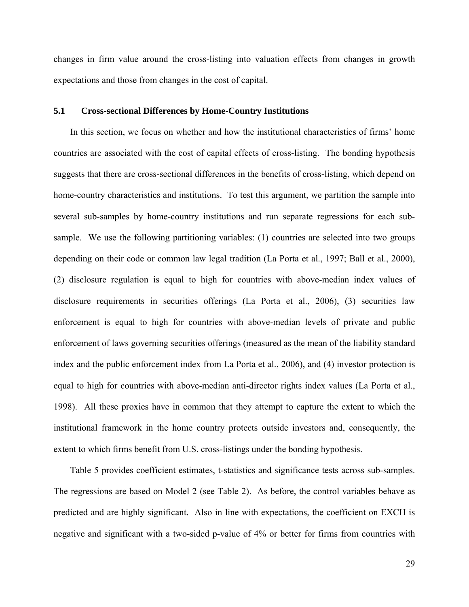changes in firm value around the cross-listing into valuation effects from changes in growth expectations and those from changes in the cost of capital.

# **5.1 Cross-sectional Differences by Home-Country Institutions**

In this section, we focus on whether and how the institutional characteristics of firms' home countries are associated with the cost of capital effects of cross-listing. The bonding hypothesis suggests that there are cross-sectional differences in the benefits of cross-listing, which depend on home-country characteristics and institutions. To test this argument, we partition the sample into several sub-samples by home-country institutions and run separate regressions for each subsample. We use the following partitioning variables: (1) countries are selected into two groups depending on their code or common law legal tradition (La Porta et al., 1997; Ball et al., 2000), (2) disclosure regulation is equal to high for countries with above-median index values of disclosure requirements in securities offerings (La Porta et al., 2006), (3) securities law enforcement is equal to high for countries with above-median levels of private and public enforcement of laws governing securities offerings (measured as the mean of the liability standard index and the public enforcement index from La Porta et al., 2006), and (4) investor protection is equal to high for countries with above-median anti-director rights index values (La Porta et al., 1998). All these proxies have in common that they attempt to capture the extent to which the institutional framework in the home country protects outside investors and, consequently, the extent to which firms benefit from U.S. cross-listings under the bonding hypothesis.

Table 5 provides coefficient estimates, t-statistics and significance tests across sub-samples. The regressions are based on Model 2 (see Table 2). As before, the control variables behave as predicted and are highly significant. Also in line with expectations, the coefficient on EXCH is negative and significant with a two-sided p-value of 4% or better for firms from countries with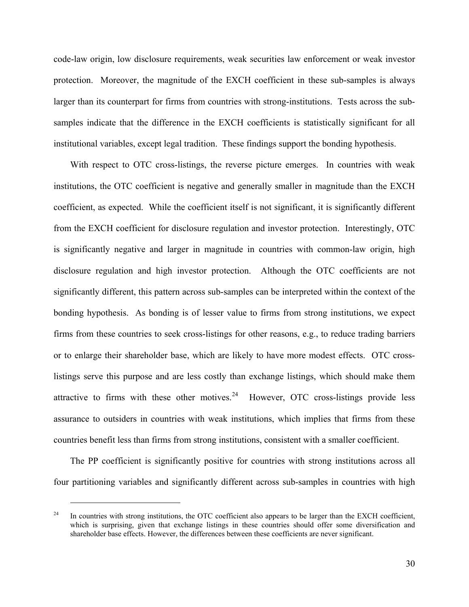code-law origin, low disclosure requirements, weak securities law enforcement or weak investor protection. Moreover, the magnitude of the EXCH coefficient in these sub-samples is always larger than its counterpart for firms from countries with strong-institutions. Tests across the subsamples indicate that the difference in the EXCH coefficients is statistically significant for all institutional variables, except legal tradition. These findings support the bonding hypothesis.

With respect to OTC cross-listings, the reverse picture emerges. In countries with weak institutions, the OTC coefficient is negative and generally smaller in magnitude than the EXCH coefficient, as expected. While the coefficient itself is not significant, it is significantly different from the EXCH coefficient for disclosure regulation and investor protection. Interestingly, OTC is significantly negative and larger in magnitude in countries with common-law origin, high disclosure regulation and high investor protection. Although the OTC coefficients are not significantly different, this pattern across sub-samples can be interpreted within the context of the bonding hypothesis. As bonding is of lesser value to firms from strong institutions, we expect firms from these countries to seek cross-listings for other reasons, e.g., to reduce trading barriers or to enlarge their shareholder base, which are likely to have more modest effects. OTC crosslistings serve this purpose and are less costly than exchange listings, which should make them attractive to firms with these other motives. $24$  However, OTC cross-listings provide less assurance to outsiders in countries with weak institutions, which implies that firms from these countries benefit less than firms from strong institutions, consistent with a smaller coefficient.

The PP coefficient is significantly positive for countries with strong institutions across all four partitioning variables and significantly different across sub-samples in countries with high

<span id="page-31-0"></span><sup>&</sup>lt;sup>24</sup> In countries with strong institutions, the OTC coefficient also appears to be larger than the EXCH coefficient, which is surprising, given that exchange listings in these countries should offer some diversification and shareholder base effects. However, the differences between these coefficients are never significant.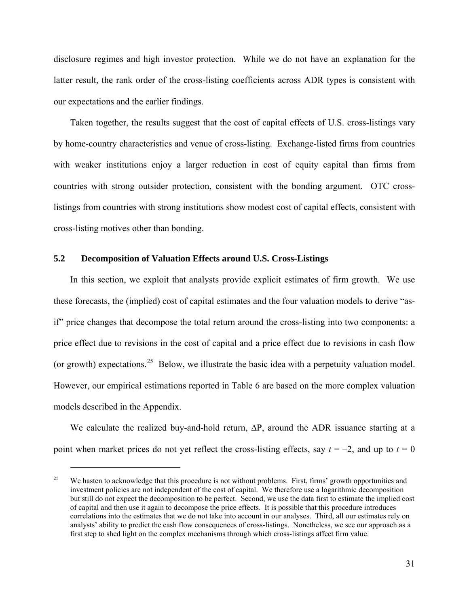disclosure regimes and high investor protection. While we do not have an explanation for the latter result, the rank order of the cross-listing coefficients across ADR types is consistent with our expectations and the earlier findings.

Taken together, the results suggest that the cost of capital effects of U.S. cross-listings vary by home-country characteristics and venue of cross-listing. Exchange-listed firms from countries with weaker institutions enjoy a larger reduction in cost of equity capital than firms from countries with strong outsider protection, consistent with the bonding argument. OTC crosslistings from countries with strong institutions show modest cost of capital effects, consistent with cross-listing motives other than bonding.

# **5.2 Decomposition of Valuation Effects around U.S. Cross-Listings**

 $\overline{a}$ 

In this section, we exploit that analysts provide explicit estimates of firm growth. We use these forecasts, the (implied) cost of capital estimates and the four valuation models to derive "asif" price changes that decompose the total return around the cross-listing into two components: a price effect due to revisions in the cost of capital and a price effect due to revisions in cash flow (or growth) expectations.<sup>[25](#page-32-0)</sup> Below, we illustrate the basic idea with a perpetuity valuation model. However, our empirical estimations reported in Table 6 are based on the more complex valuation models described in the Appendix.

We calculate the realized buy-and-hold return, ∆P, around the ADR issuance starting at a point when market prices do not yet reflect the cross-listing effects, say  $t = -2$ , and up to  $t = 0$ 

<span id="page-32-0"></span><sup>&</sup>lt;sup>25</sup> We hasten to acknowledge that this procedure is not without problems. First, firms' growth opportunities and investment policies are not independent of the cost of capital. We therefore use a logarithmic decomposition but still do not expect the decomposition to be perfect. Second, we use the data first to estimate the implied cost of capital and then use it again to decompose the price effects. It is possible that this procedure introduces correlations into the estimates that we do not take into account in our analyses. Third, all our estimates rely on analysts' ability to predict the cash flow consequences of cross-listings. Nonetheless, we see our approach as a first step to shed light on the complex mechanisms through which cross-listings affect firm value.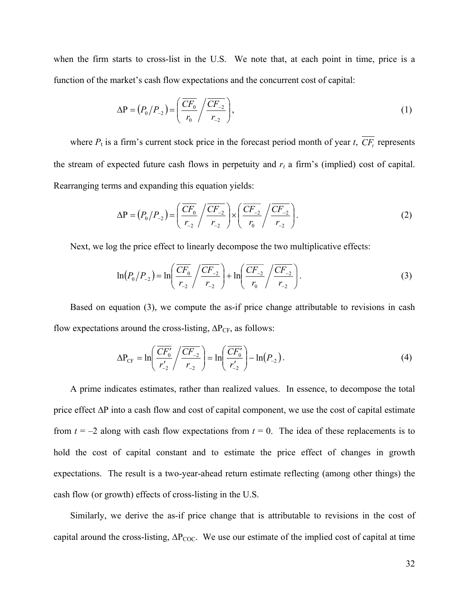when the firm starts to cross-list in the U.S. We note that, at each point in time, price is a function of the market's cash flow expectations and the concurrent cost of capital:

$$
\Delta P = (P_0/P_{-2}) = \left(\frac{\overline{CF_0}}{r_0} / \frac{\overline{CF_{-2}}}{r_{-2}}\right),\tag{1}
$$

where  $P_t$  is a firm's current stock price in the forecast period month of year *t*,  $\overline{CF_t}$  represents the stream of expected future cash flows in perpetuity and  $r_t$  a firm's (implied) cost of capital. Rearranging terms and expanding this equation yields:

$$
\Delta P = (P_0/P_{-2}) = \left(\frac{\overline{CF_0}}{r_{-2}} / \frac{\overline{CF_{-2}}}{r_{-2}}\right) \times \left(\frac{\overline{CF_{-2}}}{r_0} / \frac{\overline{CF_{-2}}}{r_{-2}}\right).
$$
(2)

Next, we log the price effect to linearly decompose the two multiplicative effects:

$$
\ln(P_0/P_{-2}) = \ln\left(\frac{\overline{CF_0}}{r_{-2}} / \frac{\overline{CF_{-2}}}{r_{-2}}\right) + \ln\left(\frac{\overline{CF_{-2}}}{r_0} / \frac{\overline{CF_{-2}}}{r_{-2}}\right).
$$
 (3)

Based on equation (3), we compute the as-if price change attributable to revisions in cash flow expectations around the cross-listing,  $\Delta P_{CF}$ , as follows:

$$
\Delta P_{CF} = \ln \left( \frac{\overline{CF_0'}}{r'_{-2}} / \frac{\overline{CF_0}}{r_{-2}} \right) = \ln \left( \frac{\overline{CF_0'}}{r'_{-2}} \right) - \ln (P_{-2}). \tag{4}
$$

A prime indicates estimates, rather than realized values. In essence, to decompose the total price effect ∆P into a cash flow and cost of capital component, we use the cost of capital estimate from  $t = -2$  along with cash flow expectations from  $t = 0$ . The idea of these replacements is to hold the cost of capital constant and to estimate the price effect of changes in growth expectations. The result is a two-year-ahead return estimate reflecting (among other things) the cash flow (or growth) effects of cross-listing in the U.S.

Similarly, we derive the as-if price change that is attributable to revisions in the cost of capital around the cross-listing,  $\Delta P_{\text{COC}}$ . We use our estimate of the implied cost of capital at time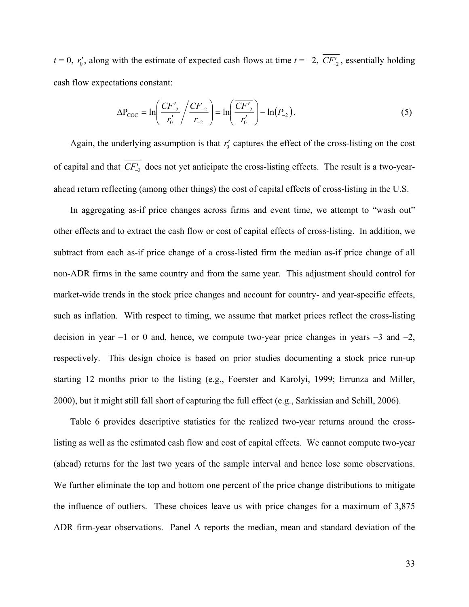$t = 0$ ,  $r'_{0}$ , along with the estimate of expected cash flows at time  $t = -2$ ,  $CF'_{-2}$ , essentially holding cash flow expectations constant:

$$
\Delta P_{\text{COC}} = \ln \left( \frac{\overline{CF'_{-2}}}{r'_0} / \frac{\overline{CF_{-2}}}{r_{-2}} \right) = \ln \left( \frac{\overline{CF'_{-2}}}{r'_0} \right) - \ln(P_{-2}). \tag{5}
$$

Again, the underlying assumption is that  $r_0'$  captures the effect of the cross-listing on the cost of capital and that  $CF_{-2}$  does not yet anticipate the cross-listing effects. The result is a two-yearahead return reflecting (among other things) the cost of capital effects of cross-listing in the U.S.

In aggregating as-if price changes across firms and event time, we attempt to "wash out" other effects and to extract the cash flow or cost of capital effects of cross-listing. In addition, we subtract from each as-if price change of a cross-listed firm the median as-if price change of all non-ADR firms in the same country and from the same year. This adjustment should control for market-wide trends in the stock price changes and account for country- and year-specific effects, such as inflation. With respect to timing, we assume that market prices reflect the cross-listing decision in year  $-1$  or 0 and, hence, we compute two-year price changes in years  $-3$  and  $-2$ , respectively. This design choice is based on prior studies documenting a stock price run-up starting 12 months prior to the listing (e.g., Foerster and Karolyi, 1999; Errunza and Miller, 2000), but it might still fall short of capturing the full effect (e.g., Sarkissian and Schill, 2006).

Table 6 provides descriptive statistics for the realized two-year returns around the crosslisting as well as the estimated cash flow and cost of capital effects. We cannot compute two-year (ahead) returns for the last two years of the sample interval and hence lose some observations. We further eliminate the top and bottom one percent of the price change distributions to mitigate the influence of outliers. These choices leave us with price changes for a maximum of 3,875 ADR firm-year observations. Panel A reports the median, mean and standard deviation of the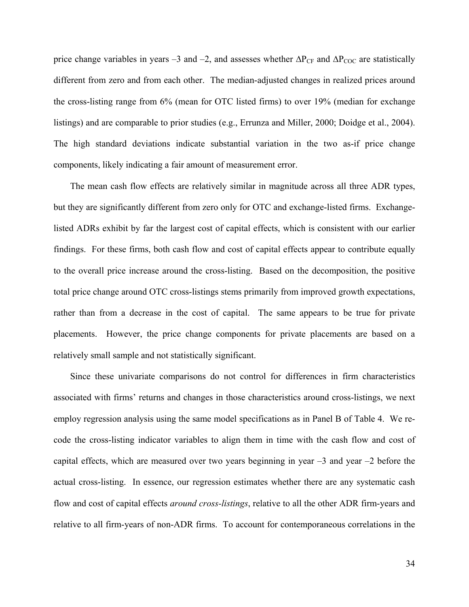price change variables in years –3 and –2, and assesses whether  $\Delta P_{CF}$  and  $\Delta P_{COC}$  are statistically different from zero and from each other. The median-adjusted changes in realized prices around the cross-listing range from 6% (mean for OTC listed firms) to over 19% (median for exchange listings) and are comparable to prior studies (e.g., Errunza and Miller, 2000; Doidge et al., 2004). The high standard deviations indicate substantial variation in the two as-if price change components, likely indicating a fair amount of measurement error.

The mean cash flow effects are relatively similar in magnitude across all three ADR types, but they are significantly different from zero only for OTC and exchange-listed firms. Exchangelisted ADRs exhibit by far the largest cost of capital effects, which is consistent with our earlier findings. For these firms, both cash flow and cost of capital effects appear to contribute equally to the overall price increase around the cross-listing. Based on the decomposition, the positive total price change around OTC cross-listings stems primarily from improved growth expectations, rather than from a decrease in the cost of capital. The same appears to be true for private placements. However, the price change components for private placements are based on a relatively small sample and not statistically significant.

Since these univariate comparisons do not control for differences in firm characteristics associated with firms' returns and changes in those characteristics around cross-listings, we next employ regression analysis using the same model specifications as in Panel B of Table 4. We recode the cross-listing indicator variables to align them in time with the cash flow and cost of capital effects, which are measured over two years beginning in year  $-3$  and year  $-2$  before the actual cross-listing. In essence, our regression estimates whether there are any systematic cash flow and cost of capital effects *around cross-listings*, relative to all the other ADR firm-years and relative to all firm-years of non-ADR firms. To account for contemporaneous correlations in the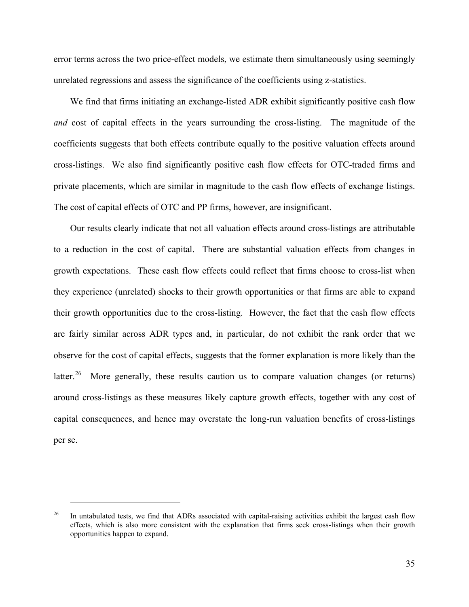error terms across the two price-effect models, we estimate them simultaneously using seemingly unrelated regressions and assess the significance of the coefficients using z-statistics.

We find that firms initiating an exchange-listed ADR exhibit significantly positive cash flow *and* cost of capital effects in the years surrounding the cross-listing. The magnitude of the coefficients suggests that both effects contribute equally to the positive valuation effects around cross-listings. We also find significantly positive cash flow effects for OTC-traded firms and private placements, which are similar in magnitude to the cash flow effects of exchange listings. The cost of capital effects of OTC and PP firms, however, are insignificant.

Our results clearly indicate that not all valuation effects around cross-listings are attributable to a reduction in the cost of capital. There are substantial valuation effects from changes in growth expectations. These cash flow effects could reflect that firms choose to cross-list when they experience (unrelated) shocks to their growth opportunities or that firms are able to expand their growth opportunities due to the cross-listing. However, the fact that the cash flow effects are fairly similar across ADR types and, in particular, do not exhibit the rank order that we observe for the cost of capital effects, suggests that the former explanation is more likely than the latter.<sup>[26](#page-36-0)</sup> More generally, these results caution us to compare valuation changes (or returns) around cross-listings as these measures likely capture growth effects, together with any cost of capital consequences, and hence may overstate the long-run valuation benefits of cross-listings per se.

<span id="page-36-0"></span><sup>&</sup>lt;sup>26</sup> In untabulated tests, we find that ADRs associated with capital-raising activities exhibit the largest cash flow effects, which is also more consistent with the explanation that firms seek cross-listings when their growth opportunities happen to expand.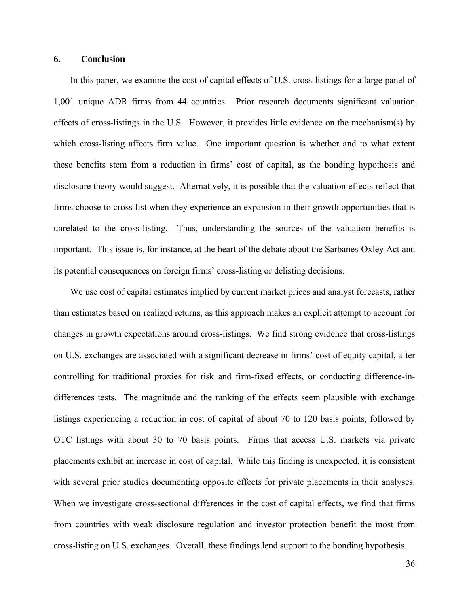### **6. Conclusion**

In this paper, we examine the cost of capital effects of U.S. cross-listings for a large panel of 1,001 unique ADR firms from 44 countries. Prior research documents significant valuation effects of cross-listings in the U.S. However, it provides little evidence on the mechanism(s) by which cross-listing affects firm value. One important question is whether and to what extent these benefits stem from a reduction in firms' cost of capital, as the bonding hypothesis and disclosure theory would suggest. Alternatively, it is possible that the valuation effects reflect that firms choose to cross-list when they experience an expansion in their growth opportunities that is unrelated to the cross-listing. Thus, understanding the sources of the valuation benefits is important. This issue is, for instance, at the heart of the debate about the Sarbanes-Oxley Act and its potential consequences on foreign firms' cross-listing or delisting decisions.

We use cost of capital estimates implied by current market prices and analyst forecasts, rather than estimates based on realized returns, as this approach makes an explicit attempt to account for changes in growth expectations around cross-listings. We find strong evidence that cross-listings on U.S. exchanges are associated with a significant decrease in firms' cost of equity capital, after controlling for traditional proxies for risk and firm-fixed effects, or conducting difference-indifferences tests. The magnitude and the ranking of the effects seem plausible with exchange listings experiencing a reduction in cost of capital of about 70 to 120 basis points, followed by OTC listings with about 30 to 70 basis points. Firms that access U.S. markets via private placements exhibit an increase in cost of capital. While this finding is unexpected, it is consistent with several prior studies documenting opposite effects for private placements in their analyses. When we investigate cross-sectional differences in the cost of capital effects, we find that firms from countries with weak disclosure regulation and investor protection benefit the most from cross-listing on U.S. exchanges. Overall, these findings lend support to the bonding hypothesis.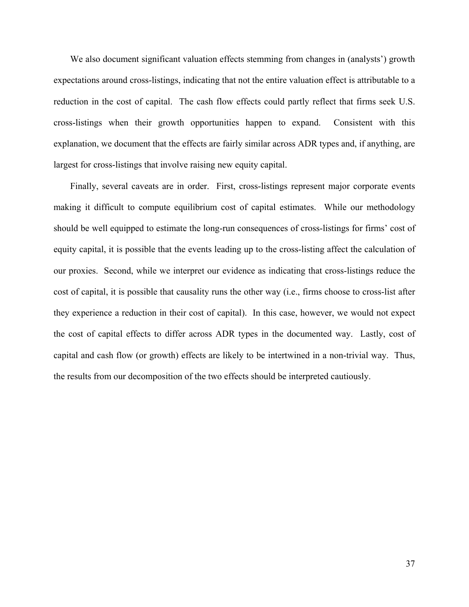We also document significant valuation effects stemming from changes in (analysts') growth expectations around cross-listings, indicating that not the entire valuation effect is attributable to a reduction in the cost of capital. The cash flow effects could partly reflect that firms seek U.S. cross-listings when their growth opportunities happen to expand. Consistent with this explanation, we document that the effects are fairly similar across ADR types and, if anything, are largest for cross-listings that involve raising new equity capital.

Finally, several caveats are in order. First, cross-listings represent major corporate events making it difficult to compute equilibrium cost of capital estimates. While our methodology should be well equipped to estimate the long-run consequences of cross-listings for firms' cost of equity capital, it is possible that the events leading up to the cross-listing affect the calculation of our proxies. Second, while we interpret our evidence as indicating that cross-listings reduce the cost of capital, it is possible that causality runs the other way (i.e., firms choose to cross-list after they experience a reduction in their cost of capital). In this case, however, we would not expect the cost of capital effects to differ across ADR types in the documented way. Lastly, cost of capital and cash flow (or growth) effects are likely to be intertwined in a non-trivial way. Thus, the results from our decomposition of the two effects should be interpreted cautiously.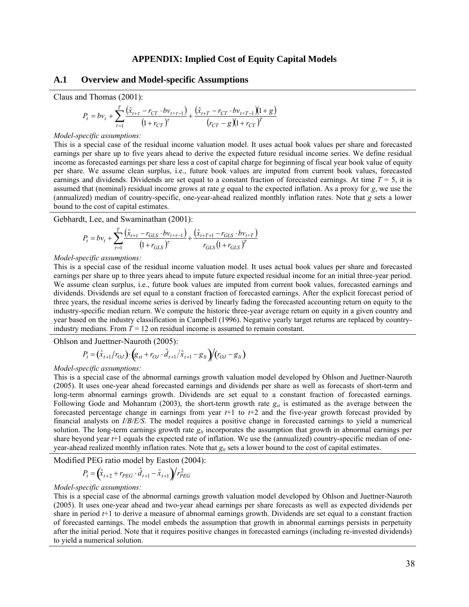### **APPENDIX: Implied Cost of Equity Capital Models**

### **A.1 Overview and Model-specific Assumptions**

Claus and Thomas (2001):

$$
P_{t} = bv_{t} + \sum_{\tau=1}^{T} \frac{(\hat{x}_{t+\tau} - r_{CT} \cdot bv_{t+\tau-1})}{(1 + r_{CT})^{\tau}} + \frac{(\hat{x}_{t+T} - r_{CT} \cdot bv_{t+T-1})(1 + g)}{(r_{CT} - g)(1 + r_{CT})^T}
$$

#### *Model-specific assumptions:*

This is a special case of the residual income valuation model. It uses actual book values per share and forecasted earnings per share up to five years ahead to derive the expected future residual income series. We define residual income as forecasted earnings per share less a cost of capital charge for beginning of fiscal year book value of equity per share. We assume clean surplus, i.e., future book values are imputed from current book values, forecasted earnings and dividends. Dividends are set equal to a constant fraction of forecasted earnings. At time *T* = 5, it is assumed that (nominal) residual income grows at rate *g* equal to the expected inflation. As a proxy for *g*, we use the (annualized) median of country-specific, one-year-ahead realized monthly inflation rates. Note that *g* sets a lower bound to the cost of capital estimates.

Gebhardt, Lee, and Swaminathan (2001):

$$
P_{t} = bv_{t} + \sum_{\tau=1}^{T} \frac{(\hat{x}_{t+\tau} - r_{GLS} \cdot bv_{t+\tau-1})}{(1 + r_{GLS})^{\tau}} + \frac{(\hat{x}_{t+T+1} - r_{GLS} \cdot bv_{t+T})}{r_{GLS}(1 + r_{GLS})^T}
$$

#### *Model-specific assumptions:*

This is a special case of the residual income valuation model. It uses actual book values per share and forecasted earnings per share up to three years ahead to impute future expected residual income for an initial three-year period. We assume clean surplus, i.e., future book values are imputed from current book values, forecasted earnings and dividends. Dividends are set equal to a constant fraction of forecasted earnings. After the explicit forecast period of three years, the residual income series is derived by linearly fading the forecasted accounting return on equity to the industry-specific median return. We compute the historic three-year average return on equity in a given country and year based on the industry classification in Campbell (1996). Negative yearly target returns are replaced by countryindustry medians. From  $T = 12$  on residual income is assumed to remain constant.

Ohlson and Juettner-Nauroth (2005):

$$
P_{t} = (\hat{x}_{t+1}/r_{OJ}) \cdot (g_{st} + r_{OJ} \cdot \hat{d}_{t+1}/\hat{x}_{t+1} - g_{lt})/(r_{OJ} - g_{lt})
$$

*Model-specific assumptions:* 

This is a special case of the abnormal earnings growth valuation model developed by Ohlson and Juettner-Nauroth (2005). It uses one-year ahead forecasted earnings and dividends per share as well as forecasts of short-term and long-term abnormal earnings growth. Dividends are set equal to a constant fraction of forecasted earnings. Following Gode and Mohanram (2003), the short-term growth rate  $g<sub>st</sub>$  is estimated as the average between the forecasted percentage change in earnings from year *t*+1 to *t*+2 and the five-year growth forecast provided by financial analysts on *I/B/E/S*. The model requires a positive change in forecasted earnings to yield a numerical solution. The long-term earnings growth rate  $g_{lt}$  incorporates the assumption that growth in abnormal earnings per share beyond year *t*+1 equals the expected rate of inflation. We use the (annualized) country-specific median of oneyear-ahead realized monthly inflation rates. Note that  $g<sub>l</sub>$  sets a lower bound to the cost of capital estimates.

Modified PEG ratio model by Easton (2004):

$$
P_{t} = \left(\hat{x}_{t+2} + r_{PEG} \cdot \hat{d}_{t+1} - \hat{x}_{t+1}\right) / r_{PEG}^{2}
$$

#### *Model-specific assumptions:*

This is a special case of the abnormal earnings growth valuation model developed by Ohlson and Juettner-Nauroth (2005). It uses one-year ahead and two-year ahead earnings per share forecasts as well as expected dividends per share in period *t*+1 to derive a measure of abnormal earnings growth. Dividends are set equal to a constant fraction of forecasted earnings. The model embeds the assumption that growth in abnormal earnings persists in perpetuity after the initial period. Note that it requires positive changes in forecasted earnings (including re-invested dividends) to yield a numerical solution.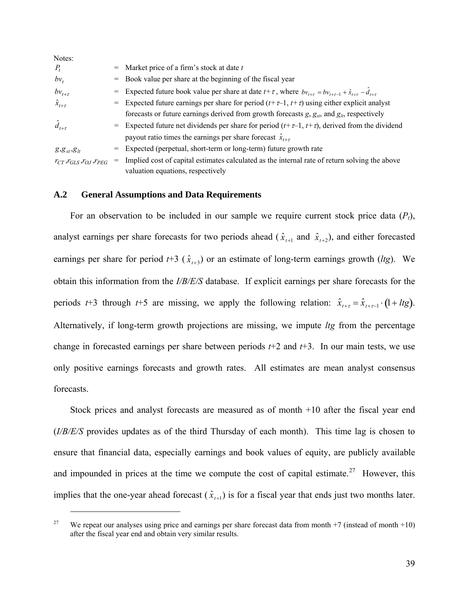| Notes:                                      |                                                                                                                                       |
|---------------------------------------------|---------------------------------------------------------------------------------------------------------------------------------------|
| $P_t$                                       | $=$ Market price of a firm's stock at date t                                                                                          |
| $bv_t$                                      | = Book value per share at the beginning of the fiscal year                                                                            |
| $bv_{t+\tau}$                               | = Expected future book value per share at date $t + \tau$ , where $bv_{t+\tau} = bv_{t+\tau-1} + \hat{x}_{t+\tau} - \hat{d}_{t+\tau}$ |
| $\hat{x}_{t+\tau}$                          | = Expected future earnings per share for period $(t+\tau-1, t+\tau)$ using either explicit analyst                                    |
|                                             | forecasts or future earnings derived from growth forecasts $g$ , $g_{st}$ , and $g_{lt}$ , respectively                               |
| $\hat{d}_{t+\tau}$                          | = Expected future net dividends per share for period $(t+\tau-1, t+\tau)$ , derived from the dividend                                 |
|                                             | payout ratio times the earnings per share forecast $\hat{x}_{t+\tau}$                                                                 |
| $g, g_{st}, g_{lt}$                         | = Expected (perpetual, short-term or long-term) future growth rate                                                                    |
| $r_{CT}$ , $r_{GLS}$ , $r_{OJ}$ , $r_{PEG}$ | Implied cost of capital estimates calculated as the internal rate of return solving the above                                         |
|                                             | valuation equations, respectively                                                                                                     |

### **A.2 General Assumptions and Data Requirements**

 $\overline{a}$ 

For an observation to be included in our sample we require current stock price data  $(P_t)$ , analyst earnings per share forecasts for two periods ahead ( $\hat{x}_{t+1}$  and  $\hat{x}_{t+2}$ ), and either forecasted earnings per share for period  $t+3$  ( $\hat{x}_{t+3}$ ) or an estimate of long-term earnings growth (*ltg*). We obtain this information from the *I/B/E/S* database. If explicit earnings per share forecasts for the periods *t*+3 through *t*+5 are missing, we apply the following relation:  $\hat{x}_{t+\tau} = \hat{x}_{t+\tau-1} \cdot (1+ l t g)$ . Alternatively, if long-term growth projections are missing, we impute *ltg* from the percentage change in forecasted earnings per share between periods *t*+2 and *t*+3. In our main tests, we use only positive earnings forecasts and growth rates. All estimates are mean analyst consensus forecasts.

Stock prices and analyst forecasts are measured as of month +10 after the fiscal year end (*I/B/E/S* provides updates as of the third Thursday of each month). This time lag is chosen to ensure that financial data, especially earnings and book values of equity, are publicly available and impounded in prices at the time we compute the cost of capital estimate.<sup>[27](#page-40-0)</sup> However, this implies that the one-year ahead forecast  $(\hat{x}_{t+1})$  is for a fiscal year that ends just two months later.

<span id="page-40-0"></span><sup>&</sup>lt;sup>27</sup> We repeat our analyses using price and earnings per share forecast data from month +7 (instead of month +10) after the fiscal year end and obtain very similar results.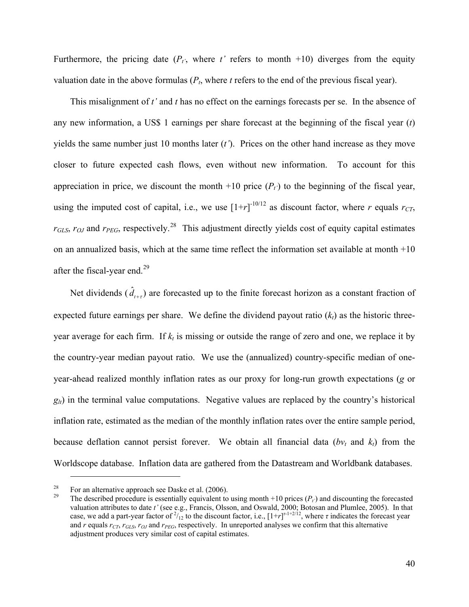Furthermore, the pricing date  $(P_t)$ , where  $t'$  refers to month +10) diverges from the equity valuation date in the above formulas  $(P_t)$ , where *t* refers to the end of the previous fiscal year).

This misalignment of *t'* and *t* has no effect on the earnings forecasts per se. In the absence of any new information, a US\$ 1 earnings per share forecast at the beginning of the fiscal year (*t*) yields the same number just 10 months later (*t'*). Prices on the other hand increase as they move closer to future expected cash flows, even without new information. To account for this appreciation in price, we discount the month  $+10$  price  $(P_t)$  to the beginning of the fiscal year, using the imputed cost of capital, i.e., we use  $[1+r]$ <sup>-10/12</sup> as discount factor, where *r* equals  $r_{CT}$ ,  $r_{GLS}$ ,  $r_{OL}$  and  $r_{PEG}$ , respectively.<sup>[28](#page-41-0)</sup> This adjustment directly yields cost of equity capital estimates on an annualized basis, which at the same time reflect the information set available at month +10 after the fiscal-year end.<sup>[29](#page-41-1)</sup>

Net dividends  $(\hat{d}_{t+1})$  are forecasted up to the finite forecast horizon as a constant fraction of expected future earnings per share. We define the dividend payout ratio  $(k<sub>t</sub>)$  as the historic threeyear average for each firm. If  $k_t$  is missing or outside the range of zero and one, we replace it by the country-year median payout ratio. We use the (annualized) country-specific median of oneyear-ahead realized monthly inflation rates as our proxy for long-run growth expectations (*g* or  $g_{\mu}$ ) in the terminal value computations. Negative values are replaced by the country's historical inflation rate, estimated as the median of the monthly inflation rates over the entire sample period, because deflation cannot persist forever. We obtain all financial data  $(bv_t)$  and  $k_t$ ) from the Worldscope database. Inflation data are gathered from the Datastream and Worldbank databases.

<span id="page-41-1"></span><span id="page-41-0"></span><sup>&</sup>lt;sup>28</sup> For an alternative approach see Daske et al. (2006).<br><sup>29</sup> The described procedure is essentially equivalent to using month +10 prices ( $P_t$ ) and discounting the forecasted valuation attributes to date *t'* (see e.g., Francis, Olsson, and Oswald, 2000; Botosan and Plumlee, 2005). In that case, we add a part-year factor of  $\frac{2}{12}$  to the discount factor, i.e.,  $[1+r]$ <sup> $r-1+2/12$ </sup>, where  $\tau$  indicates the forecast year and  $r$  equals  $r_{CT}$ ,  $r_{GLS}$ ,  $r_{OJ}$  and  $r_{PEG}$ , respectively. In unreported analyses we confirm that this alternative adjustment produces very similar cost of capital estimates.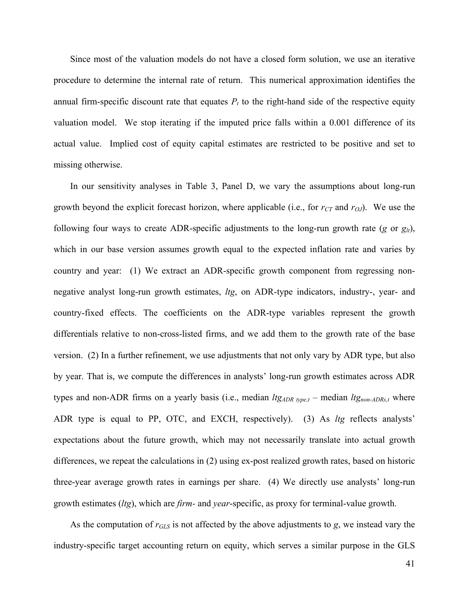Since most of the valuation models do not have a closed form solution, we use an iterative procedure to determine the internal rate of return. This numerical approximation identifies the annual firm-specific discount rate that equates  $P_t$  to the right-hand side of the respective equity valuation model. We stop iterating if the imputed price falls within a 0.001 difference of its actual value. Implied cost of equity capital estimates are restricted to be positive and set to missing otherwise.

In our sensitivity analyses in Table 3, Panel D, we vary the assumptions about long-run growth beyond the explicit forecast horizon, where applicable (i.e., for  $r_{CT}$  and  $r_{OJ}$ ). We use the following four ways to create ADR-specific adjustments to the long-run growth rate (*g* or  $g_{lt}$ ), which in our base version assumes growth equal to the expected inflation rate and varies by country and year: (1) We extract an ADR-specific growth component from regressing nonnegative analyst long-run growth estimates, *ltg*, on ADR-type indicators, industry-, year- and country-fixed effects. The coefficients on the ADR-type variables represent the growth differentials relative to non-cross-listed firms, and we add them to the growth rate of the base version. (2) In a further refinement, we use adjustments that not only vary by ADR type, but also by year. That is, we compute the differences in analysts' long-run growth estimates across ADR types and non-ADR firms on a yearly basis (i.e., median  $ltg_{ADR\ type,t}$  – median  $ltg_{non-ADRs,t}$  where ADR type is equal to PP, OTC, and EXCH, respectively). (3) As *ltg* reflects analysts' expectations about the future growth, which may not necessarily translate into actual growth differences, we repeat the calculations in (2) using ex-post realized growth rates, based on historic three-year average growth rates in earnings per share. (4) We directly use analysts' long-run growth estimates (*ltg*), which are *firm-* and *year*-specific, as proxy for terminal-value growth.

As the computation of *rGLS* is not affected by the above adjustments to *g*, we instead vary the industry-specific target accounting return on equity, which serves a similar purpose in the GLS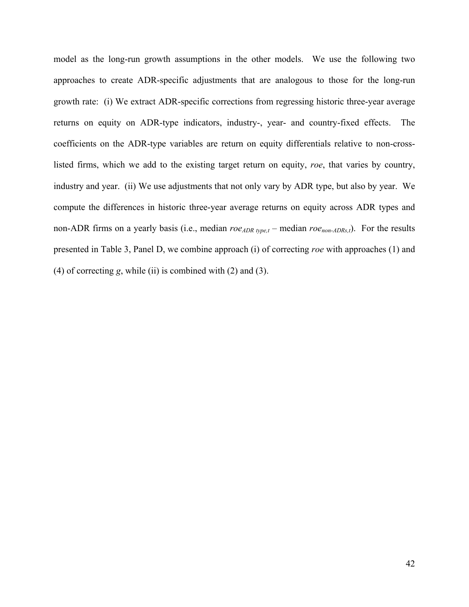model as the long-run growth assumptions in the other models. We use the following two approaches to create ADR-specific adjustments that are analogous to those for the long-run growth rate: (i) We extract ADR-specific corrections from regressing historic three-year average returns on equity on ADR-type indicators, industry-, year- and country-fixed effects. The coefficients on the ADR-type variables are return on equity differentials relative to non-crosslisted firms, which we add to the existing target return on equity, *roe*, that varies by country, industry and year. (ii) We use adjustments that not only vary by ADR type, but also by year. We compute the differences in historic three-year average returns on equity across ADR types and non-ADR firms on a yearly basis (i.e., median  $roe_{ADR\{k}m\epsilon}$  – median  $roe_{non-ADRst}$ ). For the results presented in Table 3, Panel D, we combine approach (i) of correcting *roe* with approaches (1) and (4) of correcting *g*, while (ii) is combined with (2) and (3).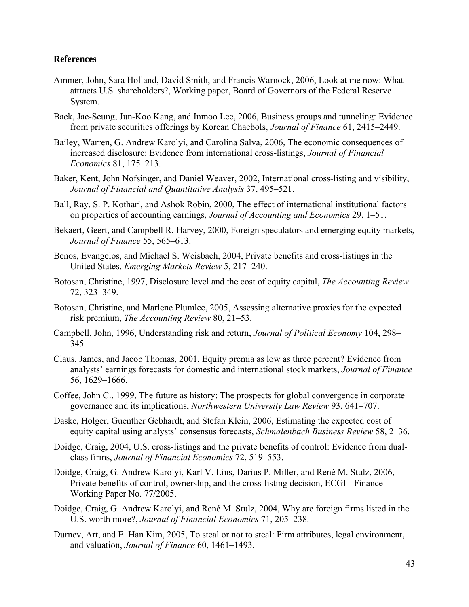# **References**

- Ammer, John, Sara Holland, David Smith, and Francis Warnock, 2006, Look at me now: What attracts U.S. shareholders?, Working paper, Board of Governors of the Federal Reserve System.
- Baek, Jae-Seung, Jun-Koo Kang, and Inmoo Lee, 2006, Business groups and tunneling: Evidence from private securities offerings by Korean Chaebols, *Journal of Finance* 61, 2415–2449.
- Bailey, Warren, G. Andrew Karolyi, and Carolina Salva, 2006, The economic consequences of increased disclosure: Evidence from international cross-listings, *Journal of Financial Economics* 81, 175–213.
- Baker, Kent, John Nofsinger, and Daniel Weaver, 2002, International cross-listing and visibility, *Journal of Financial and Quantitative Analysis* 37, 495–521.
- Ball, Ray, S. P. Kothari, and Ashok Robin, 2000, The effect of international institutional factors on properties of accounting earnings, *Journal of Accounting and Economics* 29, 1–51.
- Bekaert, Geert, and Campbell R. Harvey, 2000, Foreign speculators and emerging equity markets, *Journal of Finance* 55, 565–613.
- Benos, Evangelos, and Michael S. Weisbach, 2004, Private benefits and cross-listings in the United States, *Emerging Markets Review* 5, 217–240.
- Botosan, Christine, 1997, Disclosure level and the cost of equity capital, *The Accounting Review* 72, 323–349.
- Botosan, Christine, and Marlene Plumlee, 2005, Assessing alternative proxies for the expected risk premium, *The Accounting Review* 80, 21–53.
- Campbell, John, 1996, Understanding risk and return, *Journal of Political Economy* 104, 298– 345.
- Claus, James, and Jacob Thomas, 2001, Equity premia as low as three percent? Evidence from analysts' earnings forecasts for domestic and international stock markets, *Journal of Finance* 56, 1629–1666.
- Coffee, John C., 1999, The future as history: The prospects for global convergence in corporate governance and its implications, *Northwestern University Law Review* 93, 641–707.
- Daske, Holger, Guenther Gebhardt, and Stefan Klein, 2006, Estimating the expected cost of equity capital using analysts' consensus forecasts, *Schmalenbach Business Review* 58, 2–36.
- Doidge, Craig, 2004, U.S. cross-listings and the private benefits of control: Evidence from dualclass firms, *Journal of Financial Economics* 72, 519–553.
- Doidge, Craig, G. Andrew Karolyi, Karl V. Lins, Darius P. Miller, and René M. Stulz, 2006, Private benefits of control, ownership, and the cross-listing decision, ECGI - Finance Working Paper No. 77/2005.
- Doidge, Craig, G. Andrew Karolyi, and René M. Stulz, 2004, Why are foreign firms listed in the U.S. worth more?, *Journal of Financial Economics* 71, 205–238.
- Durnev, Art, and E. Han Kim, 2005, To steal or not to steal: Firm attributes, legal environment, and valuation, *Journal of Finance* 60, 1461–1493.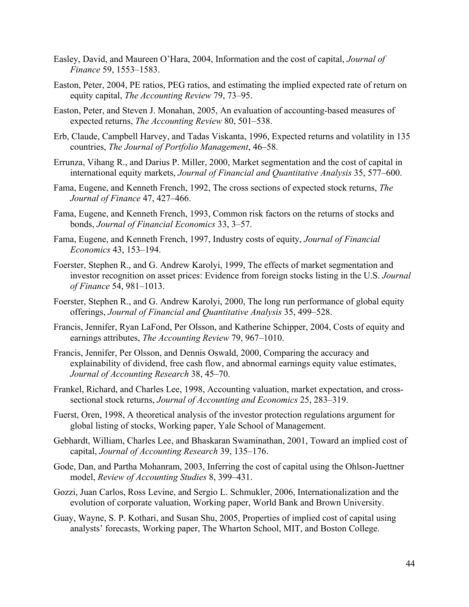- Easley, David, and Maureen O'Hara, 2004, Information and the cost of capital, *Journal of Finance* 59, 1553–1583.
- Easton, Peter, 2004, PE ratios, PEG ratios, and estimating the implied expected rate of return on equity capital, *The Accounting Review* 79, 73–95.
- Easton, Peter, and Steven J. Monahan, 2005, An evaluation of accounting-based measures of expected returns, *The Accounting Review* 80, 501–538.
- Erb, Claude, Campbell Harvey, and Tadas Viskanta, 1996, Expected returns and volatility in 135 countries, *The Journal of Portfolio Management*, 46–58.
- Errunza, Vihang R., and Darius P. Miller, 2000, Market segmentation and the cost of capital in international equity markets, *Journal of Financial and Quantitative Analysis* 35, 577–600.
- Fama, Eugene, and Kenneth French, 1992, The cross sections of expected stock returns, *The Journal of Finance* 47, 427–466.
- Fama, Eugene, and Kenneth French, 1993, Common risk factors on the returns of stocks and bonds, *Journal of Financial Economics* 33, 3–57.
- Fama, Eugene, and Kenneth French, 1997, Industry costs of equity, *Journal of Financial Economics* 43, 153–194.
- Foerster, Stephen R., and G. Andrew Karolyi, 1999, The effects of market segmentation and investor recognition on asset prices: Evidence from foreign stocks listing in the U.S. *Journal of Finance* 54, 981–1013.
- Foerster, Stephen R., and G. Andrew Karolyi, 2000, The long run performance of global equity offerings, *Journal of Financial and Quantitative Analysis* 35, 499–528.
- Francis, Jennifer, Ryan LaFond, Per Olsson, and Katherine Schipper, 2004, Costs of equity and earnings attributes, *The Accounting Review* 79, 967–1010.
- Francis, Jennifer, Per Olsson, and Dennis Oswald, 2000, Comparing the accuracy and explainability of dividend, free cash flow, and abnormal earnings equity value estimates, *Journal of Accounting Research* 38, 45–70.
- Frankel, Richard, and Charles Lee, 1998, Accounting valuation, market expectation, and crosssectional stock returns, *Journal of Accounting and Economics* 25, 283–319.
- Fuerst, Oren, 1998, A theoretical analysis of the investor protection regulations argument for global listing of stocks, Working paper, Yale School of Management.
- Gebhardt, William, Charles Lee, and Bhaskaran Swaminathan, 2001, Toward an implied cost of capital, *Journal of Accounting Research* 39, 135–176.
- Gode, Dan, and Partha Mohanram, 2003, Inferring the cost of capital using the Ohlson-Juettner model, *Review of Accounting Studies* 8, 399–431.
- Gozzi, Juan Carlos, Ross Levine, and Sergio L. Schmukler, 2006, Internationalization and the evolution of corporate valuation, Working paper, World Bank and Brown University.
- Guay, Wayne, S. P. Kothari, and Susan Shu, 2005, Properties of implied cost of capital using analysts' forecasts, Working paper, The Wharton School, MIT, and Boston College.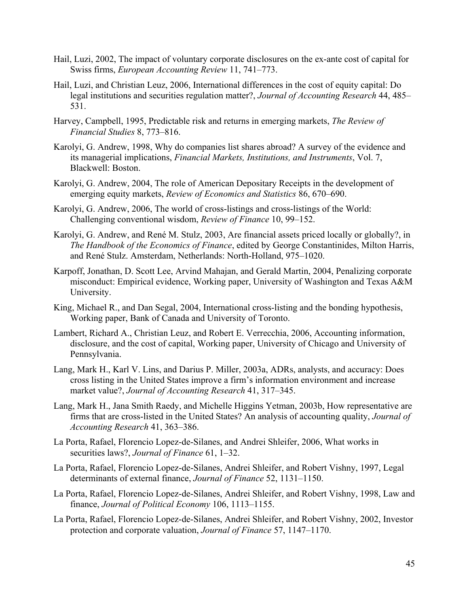- Hail, Luzi, 2002, The impact of voluntary corporate disclosures on the ex-ante cost of capital for Swiss firms, *European Accounting Review* 11, 741–773.
- Hail, Luzi, and Christian Leuz, 2006, International differences in the cost of equity capital: Do legal institutions and securities regulation matter?, *Journal of Accounting Research* 44, 485– 531.
- Harvey, Campbell, 1995, Predictable risk and returns in emerging markets, *The Review of Financial Studies* 8, 773–816.
- Karolyi, G. Andrew, 1998, Why do companies list shares abroad? A survey of the evidence and its managerial implications, *Financial Markets, Institutions, and Instruments*, Vol. 7, Blackwell: Boston.
- Karolyi, G. Andrew, 2004, The role of American Depositary Receipts in the development of emerging equity markets, *Review of Economics and Statistics* 86, 670–690.
- Karolyi, G. Andrew, 2006, The world of cross-listings and cross-listings of the World: Challenging conventional wisdom, *Review of Finance* 10, 99–152.
- Karolyi, G. Andrew, and René M. Stulz, 2003, Are financial assets priced locally or globally?, in *The Handbook of the Economics of Finance*, edited by George Constantinides, Milton Harris, and René Stulz. Amsterdam, Netherlands: North-Holland, 975–1020.
- Karpoff, Jonathan, D. Scott Lee, Arvind Mahajan, and Gerald Martin, 2004, Penalizing corporate misconduct: Empirical evidence, Working paper, University of Washington and Texas A&M University.
- King, Michael R., and Dan Segal, 2004, International cross-listing and the bonding hypothesis, Working paper, Bank of Canada and University of Toronto.
- Lambert, Richard A., Christian Leuz, and Robert E. Verrecchia, 2006, Accounting information, disclosure, and the cost of capital, Working paper, University of Chicago and University of Pennsylvania.
- Lang, Mark H., Karl V. Lins, and Darius P. Miller, 2003a, ADRs, analysts, and accuracy: Does cross listing in the United States improve a firm's information environment and increase market value?, *Journal of Accounting Research* 41, 317–345.
- Lang, Mark H., Jana Smith Raedy, and Michelle Higgins Yetman, 2003b, How representative are firms that are cross-listed in the United States? An analysis of accounting quality, *Journal of Accounting Research* 41, 363–386.
- La Porta, Rafael, Florencio Lopez-de-Silanes, and Andrei Shleifer, 2006, What works in securities laws?, *Journal of Finance* 61, 1–32.
- La Porta, Rafael, Florencio Lopez-de-Silanes, Andrei Shleifer, and Robert Vishny, 1997, Legal determinants of external finance, *Journal of Finance* 52, 1131–1150.
- La Porta, Rafael, Florencio Lopez-de-Silanes, Andrei Shleifer, and Robert Vishny, 1998, Law and finance, *Journal of Political Economy* 106, 1113–1155.
- La Porta, Rafael, Florencio Lopez-de-Silanes, Andrei Shleifer, and Robert Vishny, 2002, Investor protection and corporate valuation, *Journal of Finance* 57, 1147–1170.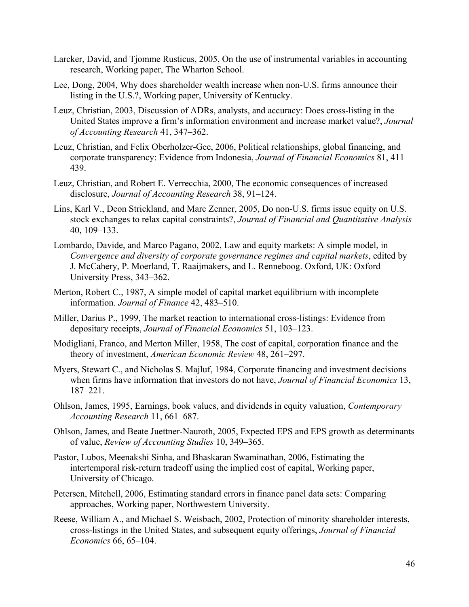- Larcker, David, and Tjomme Rusticus, 2005, On the use of instrumental variables in accounting research, Working paper, The Wharton School.
- Lee, Dong, 2004, Why does shareholder wealth increase when non-U.S. firms announce their listing in the U.S.?, Working paper, University of Kentucky.
- Leuz, Christian, 2003, Discussion of ADRs, analysts, and accuracy: Does cross-listing in the United States improve a firm's information environment and increase market value?, *Journal of Accounting Research* 41, 347–362.
- Leuz, Christian, and Felix Oberholzer-Gee, 2006, Political relationships, global financing, and corporate transparency: Evidence from Indonesia, *Journal of Financial Economics* 81, 411– 439.
- Leuz, Christian, and Robert E. Verrecchia, 2000, The economic consequences of increased disclosure, *Journal of Accounting Research* 38, 91–124.
- Lins, Karl V., Deon Strickland, and Marc Zenner, 2005, Do non-U.S. firms issue equity on U.S. stock exchanges to relax capital constraints?, *Journal of Financial and Quantitative Analysis* 40, 109–133.
- Lombardo, Davide, and Marco Pagano, 2002, Law and equity markets: A simple model, in *Convergence and diversity of corporate governance regimes and capital markets*, edited by J. McCahery, P. Moerland, T. Raaijmakers, and L. Renneboog. Oxford, UK: Oxford University Press, 343–362.
- Merton, Robert C., 1987, A simple model of capital market equilibrium with incomplete information. *Journal of Finance* 42, 483–510.
- Miller, Darius P., 1999, The market reaction to international cross-listings: Evidence from depositary receipts, *Journal of Financial Economics* 51, 103–123.
- Modigliani, Franco, and Merton Miller, 1958, The cost of capital, corporation finance and the theory of investment, *American Economic Review* 48, 261–297.
- Myers, Stewart C., and Nicholas S. Majluf, 1984, Corporate financing and investment decisions when firms have information that investors do not have, *Journal of Financial Economics* 13, 187–221.
- Ohlson, James, 1995, Earnings, book values, and dividends in equity valuation, *Contemporary Accounting Research* 11, 661–687.
- Ohlson, James, and Beate Juettner-Nauroth, 2005, Expected EPS and EPS growth as determinants of value, *Review of Accounting Studies* 10, 349–365.
- Pastor, Lubos, Meenakshi Sinha, and Bhaskaran Swaminathan, 2006, Estimating the intertemporal risk-return tradeoff using the implied cost of capital, Working paper, University of Chicago.
- Petersen, Mitchell, 2006, Estimating standard errors in finance panel data sets: Comparing approaches, Working paper, Northwestern University.
- Reese, William A., and Michael S. Weisbach, 2002, Protection of minority shareholder interests, cross-listings in the United States, and subsequent equity offerings, *Journal of Financial Economics* 66, 65–104.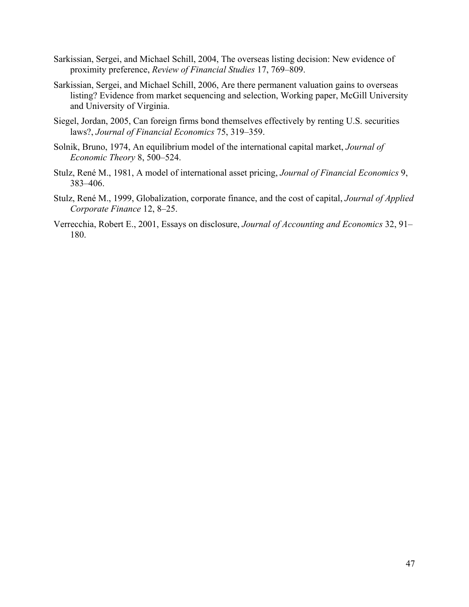- Sarkissian, Sergei, and Michael Schill, 2004, The overseas listing decision: New evidence of proximity preference, *Review of Financial Studies* 17, 769–809.
- Sarkissian, Sergei, and Michael Schill, 2006, Are there permanent valuation gains to overseas listing? Evidence from market sequencing and selection, Working paper, McGill University and University of Virginia.
- Siegel, Jordan, 2005, Can foreign firms bond themselves effectively by renting U.S. securities laws?, *Journal of Financial Economics* 75, 319–359.
- Solnik, Bruno, 1974, An equilibrium model of the international capital market, *Journal of Economic Theory* 8, 500–524.
- Stulz, René M., 1981, A model of international asset pricing, *Journal of Financial Economics* 9, 383–406.
- Stulz, René M., 1999, Globalization, corporate finance, and the cost of capital, *Journal of Applied Corporate Finance* 12, 8–25.
- Verrecchia, Robert E., 2001, Essays on disclosure, *Journal of Accounting and Economics* 32, 91– 180.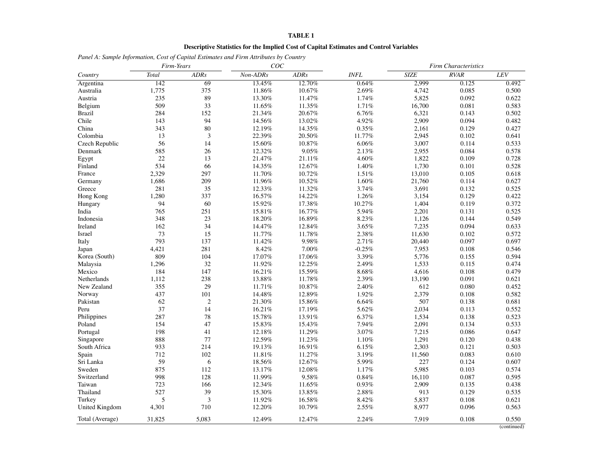### **Descriptive Statistics for the Implied Cost of Capital Estimates and Control Variables**

*Panel A: Sample Information, Cost of Capital Estimates and Firm Attributes by Country*

|                 | Firm-Years |                | COC      |             |             | <b>Firm Characteristics</b> |             |       |  |
|-----------------|------------|----------------|----------|-------------|-------------|-----------------------------|-------------|-------|--|
| Country         | Total      | <b>ADRs</b>    | Non-ADRs | <b>ADRs</b> | <b>INFL</b> | <b>SIZE</b>                 | <b>RVAR</b> | LEV   |  |
| Argentina       | 142        | 69             | 13.45%   | 12.70%      | 0.64%       | 2,999                       | 0.125       | 0.492 |  |
| Australia       | 1,775      | 375            | 11.86%   | 10.67%      | 2.69%       | 4,742                       | 0.085       | 0.500 |  |
| Austria         | 235        | 89             | 13.30%   | 11.47%      | 1.74%       | 5,825                       | 0.092       | 0.622 |  |
| Belgium         | 509        | 33             | 11.65%   | 11.35%      | 1.71%       | 16,700                      | 0.081       | 0.583 |  |
| <b>Brazil</b>   | 284        | 152            | 21.34%   | 20.67%      | 6.76%       | 6,321                       | 0.143       | 0.502 |  |
| Chile           | 143        | 94             | 14.56%   | 13.02%      | 4.92%       | 2,909                       | 0.094       | 0.482 |  |
| China           | 343        | 80             | 12.19%   | 14.35%      | 0.35%       | 2,161                       | 0.129       | 0.427 |  |
| Colombia        | 13         | $\overline{3}$ | 22.39%   | 20.50%      | 11.77%      | 2,945                       | 0.102       | 0.641 |  |
| Czech Republic  | 56         | 14             | 15.60%   | 10.87%      | 6.06%       | 3,007                       | 0.114       | 0.533 |  |
| Denmark         | 585        | 26             | 12.32%   | 9.05%       | 2.13%       | 2,955                       | 0.084       | 0.578 |  |
| Egypt           | 22         | 13             | 21.47%   | 21.11%      | 4.60%       | 1,822                       | 0.109       | 0.728 |  |
| Finland         | 534        | 66             | 14.35%   | 12.67%      | 1.40%       | 1.730                       | 0.101       | 0.528 |  |
| France          | 2,329      | 297            | 11.70%   | 10.72%      | 1.51%       | 13,010                      | 0.105       | 0.618 |  |
| Germany         | 1,686      | 209            | 11.96%   | 10.52%      | 1.60%       | 21,760                      | 0.114       | 0.627 |  |
| Greece          | 281        | 35             | 12.33%   | 11.32%      | 3.74%       | 3,691                       | 0.132       | 0.525 |  |
| Hong Kong       | 1,280      | 337            | 16.57%   | 14.22%      | 1.26%       | 3,154                       | 0.129       | 0.422 |  |
| Hungary         | 94         | 60             | 15.92%   | 17.38%      | 10.27%      | 1,404                       | 0.119       | 0.372 |  |
| India           | 765        | 251            | 15.81%   | 16.77%      | 5.94%       | 2,201                       | 0.131       | 0.525 |  |
| Indonesia       | 348        | 23             | 18.20%   | 16.89%      | 8.23%       | 1,126                       | 0.144       | 0.549 |  |
| Ireland         | 162        | 34             | 14.47%   | 12.84%      | 3.65%       | 7,235                       | 0.094       | 0.633 |  |
| Israel          | 73         | 15             | 11.77%   | 11.78%      | 2.38%       | 11,630                      | 0.102       | 0.572 |  |
| Italy           | 793        | 137            | 11.42%   | 9.98%       | 2.71%       | 20,440                      | 0.097       | 0.697 |  |
| Japan           | 4.421      | 281            | 8.42%    | 7.00%       | $-0.25%$    | 7,953                       | 0.108       | 0.546 |  |
| Korea (South)   | 809        | 104            | 17.07%   | 17.06%      | 3.39%       | 5,776                       | 0.155       | 0.594 |  |
| Malaysia        | 1,296      | 32             | 11.92%   | 12.25%      | 2.49%       | 1,533                       | 0.115       | 0.474 |  |
| Mexico          | 184        | 147            | 16.21%   | 15.59%      | $8.68\%$    | 4,616                       | 0.108       | 0.479 |  |
| Netherlands     | 1,112      | 238            | 13.88%   | 11.78%      | 2.39%       | 13,190                      | 0.091       | 0.621 |  |
| New Zealand     | 355        | 29             | 11.71%   | 10.87%      | 2.40%       | 612                         | 0.080       | 0.452 |  |
| Norway          | 437        | 101            | 14.48%   | 12.89%      | 1.92%       | 2,379                       | 0.108       | 0.582 |  |
| Pakistan        | 62         | $\overline{2}$ | 21.30%   | 15.86%      | 6.64%       | 507                         | 0.138       | 0.681 |  |
| Peru            | 37         | 14             | 16.21%   | 17.19%      | 5.62%       | 2,034                       | 0.113       | 0.552 |  |
| Philippines     | 287        | 78             | 15.78%   | 13.91%      | 6.37%       | 1,534                       | 0.138       | 0.523 |  |
| Poland          | 154        | 47             | 15.83%   | 15.43%      | 7.94%       | 2,091                       | 0.134       | 0.533 |  |
| Portugal        | 198        | 41             | 12.18%   | 11.29%      | 3.07%       | 7,215                       | 0.086       | 0.647 |  |
| Singapore       | 888        | 77             | 12.59%   | 11.23%      | 1.10%       | 1,291                       | 0.120       | 0.438 |  |
| South Africa    | 933        | 214            | 19.13%   | 16.91%      | 6.15%       | 2,303                       | 0.121       | 0.503 |  |
| Spain           | 712        | 102            | 11.81%   | 11.27%      | 3.19%       | 11,560                      | 0.083       | 0.610 |  |
| Sri Lanka       | 59         | 6              | 18.56%   | 12.67%      | 5.99%       | 227                         | 0.124       | 0.607 |  |
| Sweden          | 875        | 112            | 13.17%   | 12.08%      | 1.17%       | 5,985                       | 0.103       | 0.574 |  |
| Switzerland     | 998        | 128            | 11.99%   | 9.58%       | 0.84%       | 16,110                      | 0.087       | 0.595 |  |
| Taiwan          | 723        | 166            | 12.34%   | 11.65%      | 0.93%       | 2,909                       | 0.135       | 0.438 |  |
| Thailand        | 527        | 39             | 15.30%   | 13.85%      | 2.88%       | 913                         | 0.129       | 0.535 |  |
| Turkey          | 5          | 3              | 11.92%   | 16.58%      | 8.42%       | 5,837                       | 0.108       | 0.621 |  |
| United Kingdom  | 4,301      | 710            | 12.20%   | 10.79%      | 2.55%       | 8,977                       | 0.096       | 0.563 |  |
| Total (Average) | 31,825     | 5.083          | 12.49%   | 12.47%      | 2.24%       | 7.919                       | 0.108       | 0.550 |  |

(continued)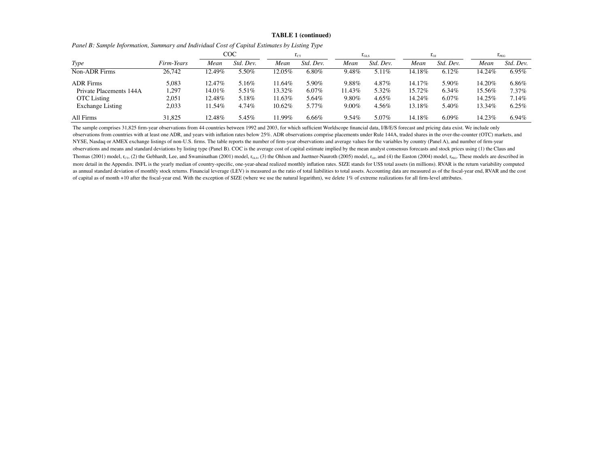#### **TABLE 1 (continued)**

|                         |            |        | COC       |           | $\mathbf{1}_{\text{CT}}$ |          | $1_{GLS}$ |        | $\mathbf{I}_{\text{OJ}}$ |        | $\mathbf{1}_{\text{PEG}}$ |
|-------------------------|------------|--------|-----------|-----------|--------------------------|----------|-----------|--------|--------------------------|--------|---------------------------|
| Type                    | Firm-Years | Mean   | Std. Dev. | Mean      | Std. Dev.                | Mean     | Std. Dev. | Mean   | Std. Dev.                | Mean   | Std. Dev.                 |
| <b>Non-ADR Firms</b>    | 26,742     | 12.49% | 5.50%     | 12.05%    | $6.80\%$                 | 9.48%    | 5.11%     | 14.18% | 6.12%                    | 14.24% | 6.95%                     |
| <b>ADR</b> Firms        | 5,083      | 12.47% | 5.16%     | $11.64\%$ | 5.90%                    | 9.88%    | $4.87\%$  | 14.17% | $5.90\%$                 | 14.20% | 6.86%                     |
| Private Placements 144A | 1,297      | 14.01% | 5.51%     | 13.32%    | $6.07\%$                 | 11.43%   | 5.32%     | 15.72% | 6.34%                    | 15.56% | $7.37\%$                  |
| <b>OTC</b> Listing      | 2,051      | 12.48% | 5.18%     | 11.63%    | 5.64%                    | 9.80%    | 4.65%     | 14.24% | 6.07%                    | 14.25% | 7.14%                     |
| <b>Exchange Listing</b> | 2,033      | 11.54% | 4.74%     | $10.62\%$ | 5.77%                    | $9.00\%$ | 4.56%     | 13.18% | 5.40%                    | 13.34% | 6.25%                     |
| All Firms               | 31.825     | 12.48% | 5.45%     | 11.99%    | 6.66%                    | $9.54\%$ | 5.07%     | 14.18% | $6.09\%$                 | 14.23% | 6.94%                     |

*Panel B: Sample Information, Summary and Individual Cost of Capital Estimates by Listing Type*

The sample comprises 31,825 firm-year observations from 44 countries between 1992 and 2003, for which sufficient Worldscope financial data, I/B/E/S forecast and pricing data exist. We include only observations from countries with at least one ADR, and years with inflation rates below 25%. ADR observations comprise placements under Rule 144A, traded shares in the over-the-counter (OTC) markets, and NYSE, Nasdaq or AMEX exchange listings of non-U.S. firms. The table reports the number of firm-year observations and average values for the variables by country (Panel A), and number of firm-year observations and means and standard deviations by listing type (Panel B). COC is the average cost of capital estimate implied by the mean analyst consensus forecasts and stock prices using (1) the Claus and Thomas (2001) model,  $r_{\text{CT}}$ , (2) the Gebhardt, Lee, and Swaminathan (2001) model,  $r_{\text{GLS}}$ , (3) the Ohlson and Juettner-Nauroth (2005) model,  $r_{\text{OJ}}$ , and (4) the Easton (2004) model,  $r_{\text{PEG}}$ . These models are more detail in the Appendix. INFL is the yearly median of country-specific, one-year-ahead realized monthly inflation rates. SIZE stands for US\$ total assets (in millions). RVAR is the return variability computed as annual standard deviation of monthly stock returns. Financial leverage (LEV) is measured as the ratio of total liabilities to total assets. Accounting data are measured as of the fiscal-year end, RVAR and the cost of capital as of month +10 after the fiscal-year end. With the exception of SIZE (where we use the natural logarithm), we delete 1% of extreme realizations for all firm-level attributes.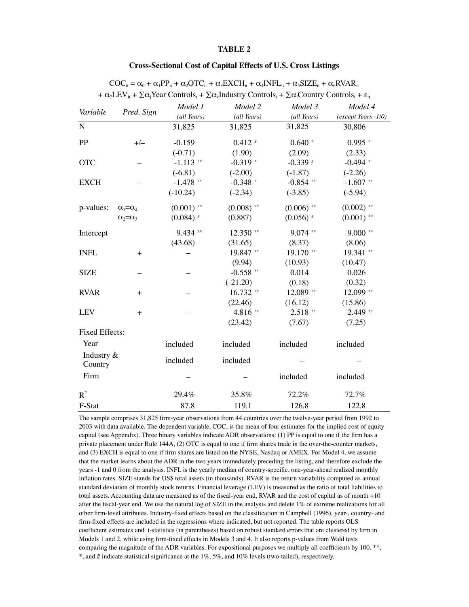### **Cross-Sectional Cost of Capital Effects of U.S. Cross Listings**

| Variable              | Pred. Sign            | Model 1      | Model 2      | Model 3      | Model 4               |
|-----------------------|-----------------------|--------------|--------------|--------------|-----------------------|
|                       |                       | (all Years)  | (all Years)  | (all Years)  | $(except Years -1/0)$ |
| ${\bf N}$             |                       | 31,825       | 31,825       | 31,825       | 30,806                |
| PP                    | $+/-$                 | $-0.159$     | $0.412$ #    | $0.640*$     | $0.995*$              |
|                       |                       | $(-0.71)$    | (1.90)       | (2.09)       | (2.33)                |
| <b>OTC</b>            |                       | $-1.113$ **  | $-0.319*$    | $-0.339$ #   | $-0.494$ *            |
|                       |                       | $(-6.81)$    | $(-2.00)$    | $(-1.87)$    | $(-2.26)$             |
| <b>EXCH</b>           |                       | $-1.478$ **  | $-0.348$ *   | $-0.854$ **  | $-1.607$ **           |
|                       |                       | $(-10.24)$   | $(-2.34)$    | $(-3.85)$    | $(-5.94)$             |
| p-values:             | $\alpha_1 = \alpha_2$ | $(0.001)$ ** | $(0.008)$ ** | $(0.006)$ ** | $(0.002)$ **          |
|                       | $\alpha_2 = \alpha_3$ | $(0.084)$ #  | (0.887)      | $(0.056)$ #  | $(0.001)$ **          |
| Intercept             |                       | 9.434 **     | $12.350$ **  | $9.074$ **   | $9.000$ **            |
|                       |                       | (43.68)      | (31.65)      | (8.37)       | (8.06)                |
| <b>INFL</b>           | $+$                   |              | 19.847**     | 19.170**     | 19.341 **             |
|                       |                       |              | (9.94)       | (10.93)      | (10.47)               |
| <b>SIZE</b>           |                       |              | $-0.558$ **  | 0.014        | 0.026                 |
|                       |                       |              | $(-21.20)$   | (0.18)       | (0.32)                |
| <b>RVAR</b>           | $+$                   |              | $16.732**$   | 12.089 **    | 12.099 **             |
|                       |                       |              | (22.46)      | (16.12)      | (15.86)               |
| <b>LEV</b>            | $+$                   |              | 4.816**      | $2.518**$    | $2.449**$             |
|                       |                       |              | (23.42)      | (7.67)       | (7.25)                |
| Fixed Effects:        |                       |              |              |              |                       |
| Year                  |                       | included     | included     | included     | included              |
| Industry &<br>Country |                       | included     | included     |              |                       |
| Firm                  |                       |              |              | included     | included              |
| $R^2$                 |                       | 29.4%        | 35.8%        | 72.2%        | 72.7%                 |
| F-Stat                |                       | 87.8         | 119.1        | 126.8        | 122.8                 |

| $\text{COC}_{it} = \alpha_0 + \alpha_1 \text{PP}_{it} + \alpha_2 \text{OTC}_{it} + \alpha_3 \text{EXCH}_{it} + \alpha_4 \text{INFL}_{it} + \alpha_5 \text{SIZE}_{it} + \alpha_6 \text{RVAR}_{it}$ |  |
|---------------------------------------------------------------------------------------------------------------------------------------------------------------------------------------------------|--|
| + $\alpha_7$ LEV <sub>it</sub> + $\sum \alpha_i$ Year Controls <sub>t</sub> + $\sum \alpha_k$ Industry Controls <sub>i</sub> + $\sum \alpha_i$ Country Controls <sub>i</sub> + $\varepsilon_{it}$ |  |

The sample comprises 31,825 firm-year observations from 44 countries over the twelve-year period from 1992 to 2003 with data available. The dependent variable, COC, is the mean of four estimates for the implied cost of equity capital (see Appendix). Three binary variables indicate ADR observations: (1) PP is equal to one if the firm has a private placement under Rule 144A, (2) OTC is equal to one if firm shares trade in the over-the-counter markets, and (3) EXCH is equal to one if firm shares are listed on the NYSE, Nasdaq or AMEX. For Model 4, we assume that the market learns about the ADR in the two years immediately preceding the listing, and therefore exclude the years -1 and 0 from the analysis. INFL is the yearly median of country-specific, one-year-ahead realized monthly inflation rates. SIZE stands for US\$ total assets (in thousands). RVAR is the return variability computed as annual standard deviation of monthly stock returns. Financial leverage (LEV) is measured as the ratio of total liabilities to total assets. Accounting data are measured as of the fiscal-year end, RVAR and the cost of capital as of month +10 after the fiscal-year end. We use the natural log of SIZE in the analysis and delete 1% of extreme realizations for all other firm-level attributes. Industry-fixed effects based on the classification in Campbell (1996), year-, country- and firm-fixed effects are included in the regressions where indicated, but not reported. The table reports OLS coefficient estimates and t-statistics (in parentheses) based on robust standard errors that are clustered by firm in Models 1 and 2, while using firm-fixed effects in Models 3 and 4. It also reports p-values from Wald tests comparing the magnitude of the ADR variables. For expositional purposes we multiply all coefficients by 100. \*\*, \*, and # indicate statistical significance at the 1%, 5%, and 10% levels (two-tailed), respectively.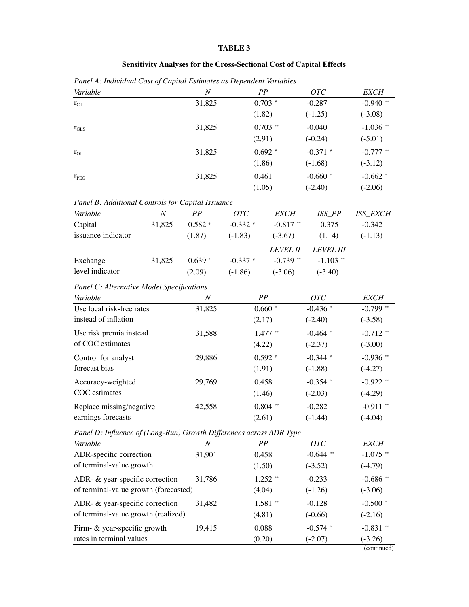# **Sensitivity Analyses for the Cross-Sectional Cost of Capital Effects**

*Panel A: Individual Cost of Capital Estimates as Dependent Variables Variable*

| Variable         | N      | PP         | <b>OTC</b> | <b>EXCH</b> |
|------------------|--------|------------|------------|-------------|
| $r_{CT}$         | 31,825 | $0.703$ #  | $-0.287$   | $-0.940$ ** |
|                  |        | (1.82)     | $(-1.25)$  | $(-3.08)$   |
| $r_{GLS}$        | 31,825 | $0.703$ ** | $-0.040$   | $-1.036$ ** |
|                  |        | (2.91)     | $(-0.24)$  | $(-5.01)$   |
| $r_{OJ}$         | 31,825 | $0.692*$   | $-0.371$ # | $-0.777$ ** |
|                  |        | (1.86)     | $(-1.68)$  | $(-3.12)$   |
| $r_{\text{PEG}}$ | 31,825 | 0.461      | $-0.660$ * | $-0.662$ *  |
|                  |        | (1.05)     | $(-2.40)$  | $(-2.06)$   |
|                  |        |            |            |             |

| Panel B: Additional Controls for Capital Issuance |  |
|---------------------------------------------------|--|
|                                                   |  |

| Variable           | N      | PP        | <i>OTC</i> | <i>EXCH</i>     | ISS PP           | <b>ISS EXCH</b> |
|--------------------|--------|-----------|------------|-----------------|------------------|-----------------|
| Capital            | 31,825 | $0.582$ # | $-0.332$ # | $-0.817$ **     | 0.375            | $-0.342$        |
| issuance indicator |        | (1.87)    | $(-1.83)$  | $(-3.67)$       | (1.14)           | $(-1.13)$       |
|                    |        |           |            | <i>LEVEL II</i> | <i>LEVEL III</i> |                 |
| Exchange           | 31,825 | $0.639*$  | $-0.337$ # | $-0.739$ **     | $-1.103$ **      |                 |
| level indicator    |        | (2.09)    | $(-1.86)$  | $(-3.06)$       | $(-3.40)$        |                 |

### *Panel C: Alternative Model Specifications*

| Variable                  | N      | PP         | OTC        | <b>EXCH</b> |
|---------------------------|--------|------------|------------|-------------|
| Use local risk-free rates | 31,825 | $0.660*$   | $-0.436$ * | $-0.799$ ** |
| instead of inflation      |        | (2.17)     | $(-2.40)$  | $(-3.58)$   |
| Use risk premia instead   | 31,588 | $1.477$ ** | $-0.464$ * | $-0.712$ ** |
| of COC estimates          |        | (4.22)     | $(-2.37)$  | $(-3.00)$   |
| Control for analyst       | 29,886 | $0.592$ #  | $-0.344$ # | $-0.936$ ** |
| forecast bias             |        | (1.91)     | $(-1.88)$  | $(-4.27)$   |
| Accuracy-weighted         | 29,769 | 0.458      | $-0.354$ * | $-0.922$ ** |
| COC estimates             |        | (1.46)     | $(-2.03)$  | $(-4.29)$   |
| Replace missing/negative  | 42,558 | $0.804$ ** | $-0.282$   | $-0.911$ ** |
| earnings forecasts        |        | (2.61)     | $(-1.44)$  | $(-4.04)$   |

*Panel D: Influence of (Long-Run) Growth Differences across ADR Type*

| Variable                              | N      | PP         | <i>OTC</i>  | <i>EXCH</i>            |
|---------------------------------------|--------|------------|-------------|------------------------|
| ADR-specific correction               | 31,901 | 0.458      | $-0.644$ ** | $-1.075$ **            |
| of terminal-value growth              |        | (1.50)     | $(-3.52)$   | $(-4.79)$              |
| ADR- $\&$ year-specific correction    | 31,786 | $1.252$ ** | $-0.233$    | $-0.686$ <sup>**</sup> |
| of terminal-value growth (forecasted) |        | (4.04)     | $(-1.26)$   | $(-3.06)$              |
| ADR- $\&$ year-specific correction    | 31,482 | $1.581**$  | $-0.128$    | $-0.500*$              |
| of terminal-value growth (realized)   |        | (4.81)     | $(-0.66)$   | $(-2.16)$              |
| Firm- $\&$ year-specific growth       | 19,415 | 0.088      | $-0.574$ *  | $-0.831$ **            |
| rates in terminal values              |        | (0.20)     | $(-2.07)$   | $(-3.26)$              |
|                                       |        |            |             | (continued)            |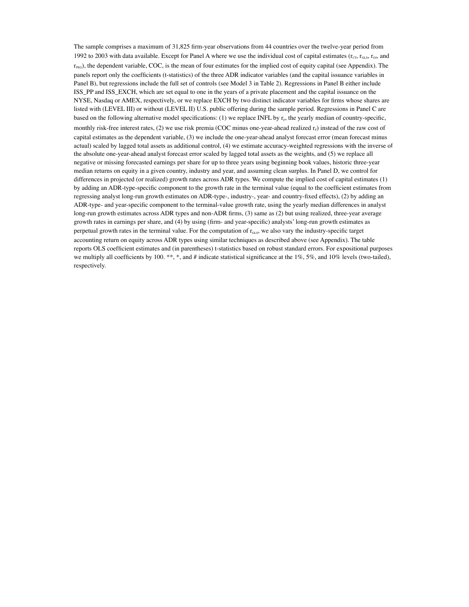The sample comprises a maximum of 31,825 firm-year observations from 44 countries over the twelve-year period from 1992 to 2003 with data available. Except for Panel A where we use the individual cost of capital estimates  $(r_{\text{CT}}, r_{\text{GLS}}, r_{\text{O}})$ , and  $r_{\text{PEG}}$ ), the dependent variable, COC, is the mean of four estimates for the implied cost of equity capital (see Appendix). The panels report only the coefficients (t-statistics) of the three ADR indicator variables (and the capital issuance variables in Panel B), but regressions include the full set of controls (see Model 3 in Table 2). Regressions in Panel B either include ISS\_PP and ISS\_EXCH, which are set equal to one in the years of a private placement and the capital issuance on the NYSE, Nasdaq or AMEX, respectively, or we replace EXCH by two distinct indicator variables for firms whose shares are listed with (LEVEL III) or without (LEVEL II) U.S. public offering during the sample period. Regressions in Panel C are based on the following alternative model specifications: (1) we replace INFL by  $r_F$ , the yearly median of country-specific, monthly risk-free interest rates, (2) we use risk premia (COC minus one-year-ahead realized  $r<sub>F</sub>$ ) instead of the raw cost of capital estimates as the dependent variable, (3) we include the one-year-ahead analyst forecast error (mean forecast minus actual) scaled by lagged total assets as additional control, (4) we estimate accuracy-weighted regressions with the inverse of the absolute one-year-ahead analyst forecast error scaled by lagged total assets as the weights, and (5) we replace all negative or missing forecasted earnings per share for up to three years using beginning book values, historic three-year median returns on equity in a given country, industry and year, and assuming clean surplus. In Panel D, we control for differences in projected (or realized) growth rates across ADR types. We compute the implied cost of capital estimates (1) by adding an ADR-type-specific component to the growth rate in the terminal value (equal to the coefficient estimates from regressing analyst long-run growth estimates on ADR-type-, industry-, year- and country-fixed effects), (2) by adding an ADR-type- and year-specific component to the terminal-value growth rate, using the yearly median differences in analyst long-run growth estimates across ADR types and non-ADR firms, (3) same as (2) but using realized, three-year average growth rates in earnings per share, and (4) by using (firm- and year-specific) analysts' long-run growth estimates as perpetual growth rates in the terminal value. For the computation of  $r_{\text{GLS}}$ , we also vary the industry-specific target accounting return on equity across ADR types using similar techniques as described above (see Appendix). The table reports OLS coefficient estimates and (in parentheses) t-statistics based on robust standard errors. For expositional purposes we multiply all coefficients by 100. \*\*, \*, and # indicate statistical significance at the 1%, 5%, and 10% levels (two-tailed), respectively.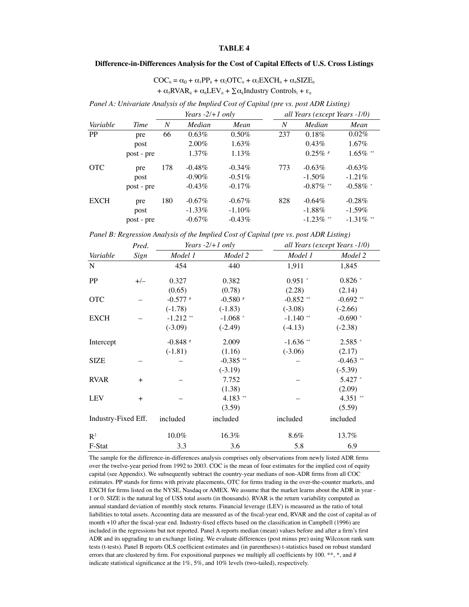#### **Difference-in-Differences Analysis for the Cost of Capital Effects of U.S. Cross Listings**

 $\text{COC}_{it} = \alpha_0 + \alpha_1 \text{PP}_{it} + \alpha_2 \text{OTC}_{it} + \alpha_3 \text{EXCH}_{it} + \alpha_4 \text{SIZE}_{it}$ +  $\alpha_{5}$ RVAR<sub>it</sub> +  $\alpha_{6}$ LEV<sub>it</sub> +  $\sum \alpha_{k}$ Industry Controls<sub>i</sub> +  $\varepsilon_{it}$ 

*Panel A: Univariate Analysis of the Implied Cost of Capital (pre vs. post ADR Listing)*

|             |            |     | Years $-2/+1$ only |           | all Years (except Years -1/0) |              |              |  |
|-------------|------------|-----|--------------------|-----------|-------------------------------|--------------|--------------|--|
| Variable    | Time       | N   | Median             | Mean      | N                             | Median       | Mean         |  |
| <b>PP</b>   | pre        | 66  | 0.63%              | $0.50\%$  | 237                           | 0.18%        | $0.02\%$     |  |
|             | post       |     | $2.00\%$           | $1.63\%$  |                               | 0.43%        | $1.67\%$     |  |
|             | post - pre |     | 1.37%              | 1.13%     |                               | $0.25\%$ #   | $1.65\%$ **  |  |
| <b>OTC</b>  | pre        | 178 | $-0.48\%$          | $-0.34\%$ | 773                           | $-0.63\%$    | $-0.63\%$    |  |
|             | post       |     | $-0.90\%$          | $-0.51\%$ |                               | $-1.50\%$    | $-1.21\%$    |  |
|             | post - pre |     | $-0.43\%$          | $-0.17\%$ |                               | $-0.87\%$ ** | $-0.58\%$ *  |  |
| <b>EXCH</b> | pre        | 180 | $-0.67\%$          | $-0.67\%$ | 828                           | $-0.64\%$    | $-0.28%$     |  |
|             | post       |     | $-1.33\%$          | $-1.10\%$ |                               | $-1.88\%$    | $-1.59\%$    |  |
|             | post - pre |     | $-0.67\%$          | $-0.43\%$ |                               | $-1.23\%$ ** | $-1.31\%$ ** |  |

*Panel B: Regression Analysis of the Implied Cost of Capital (pre vs. post ADR Listing)*

| Pred.               |       |             | Years $-2/+1$ only | all Years (except Years -1/0) |             |  |
|---------------------|-------|-------------|--------------------|-------------------------------|-------------|--|
| Variable            | Sign  | Model 1     | Model 2            | Model 1                       | Model 2     |  |
| N                   |       | 454         | 440                | 1,911                         | 1,845       |  |
| PP                  | $+/-$ | 0.327       | 0.382              | $0.951$ *                     | $0.826*$    |  |
|                     |       | (0.65)      | (0.78)             | (2.28)                        | (2.14)      |  |
| <b>OTC</b>          |       | $-0.577$ #  | $-0.580$ #         | $-0.852$ **                   | $-0.692$ ** |  |
|                     |       | $(-1.78)$   | $(-1.83)$          | $(-3.08)$                     | $(-2.66)$   |  |
| <b>EXCH</b>         |       | $-1.212$ ** | $-1.068$ *         | $-1.140$ **                   | $-0.690$ *  |  |
|                     |       | $(-3.09)$   | $(-2.49)$          | $(-4.13)$                     | $(-2.38)$   |  |
| Intercept           |       | $-0.848$ #  | 2.009              | $-1.636$ **                   | $2.585*$    |  |
|                     |       | $(-1.81)$   | (1.16)             | $(-3.06)$                     | (2.17)      |  |
| <b>SIZE</b>         |       |             | $-0.385$ **        |                               | $-0.463$ ** |  |
|                     |       |             | $(-3.19)$          |                               | $(-5.39)$   |  |
| <b>RVAR</b>         | $+$   |             | 7.752              |                               | 5.427 *     |  |
|                     |       |             | (1.38)             |                               | (2.09)      |  |
| <b>LEV</b>          | $+$   |             | $4.183$ **         |                               | $4.351$ **  |  |
|                     |       |             | (3.59)             |                               | (5.59)      |  |
| Industry-Fixed Eff. |       | included    | included           | included                      | included    |  |
| $\mathbf{R}^2$      |       | 10.0%       | 16.3%              | 8.6%                          | 13.7%       |  |
| F-Stat              |       | 3.3         | 3.6                | 5.8                           | 6.9         |  |

The sample for the difference-in-differences analysis comprises only observations from newly listed ADR firms over the twelve-year period from 1992 to 2003. COC is the mean of four estimates for the implied cost of equity capital (see Appendix). We subsequently subtract the country-year medians of non-ADR firms from all COC estimates. PP stands for firms with private placements, OTC for firms trading in the over-the-counter markets, and EXCH for firms listed on the NYSE, Nasdaq or AMEX. We assume that the market learns about the ADR in year - 1 or 0. SIZE is the natural log of US\$ total assets (in thousands). RVAR is the return variability computed as annual standard deviation of monthly stock returns. Financial leverage (LEV) is measured as the ratio of total liabilities to total assets. Accounting data are measured as of the fiscal-year end, RVAR and the cost of capital as of month +10 after the fiscal-year end. Industry-fixed effects based on the classification in Campbell (1996) are included in the regressions but not reported. Panel A reports median (mean) values before and after a firm's first ADR and its upgrading to an exchange listing. We evaluate differences (post minus pre) using Wilcoxon rank sum tests (t-tests). Panel B reports OLS coefficient estimates and (in parentheses) t-statistics based on robust standard errors that are clustered by firm. For expositional purposes we multiply all coefficients by 100. \*\*, \*, and # indicate statistical significance at the 1%, 5%, and 10% levels (two-tailed), respectively.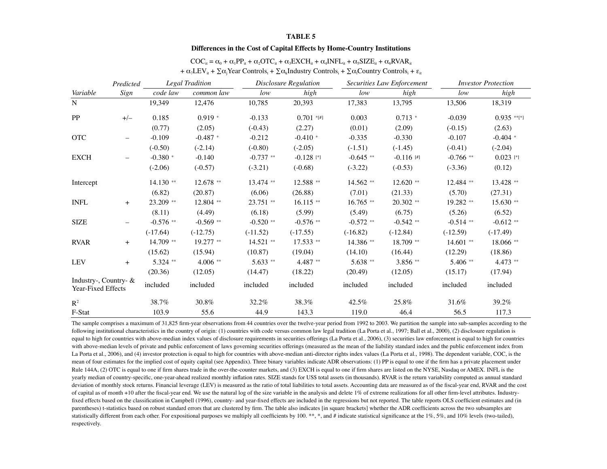#### **Differences in the Cost of Capital Effects by Home-Country Institutions**

|                                             | Predicted                | <b>Legal Tradition</b> |             | <b>Disclosure Regulation</b> |              | Securities Law Enforcement |              | <b>Investor Protection</b> |               |
|---------------------------------------------|--------------------------|------------------------|-------------|------------------------------|--------------|----------------------------|--------------|----------------------------|---------------|
| Variable                                    | Sign                     | code law               | common law  | low                          | high         | low                        | high         | low                        | high          |
| $\mathbf N$                                 |                          | 19,349                 | 12,476      | 10,785                       | 20,393       | 17,383                     | 13,795       | 13,506                     | 18,319        |
| PP                                          | $+/-$                    | 0.185                  | $0.919*$    | $-0.133$                     | $0.701$ *[#] | 0.003                      | $0.713*$     | $-0.039$                   | $0.935$ **[*] |
|                                             |                          | (0.77)                 | (2.05)      | $(-0.43)$                    | (2.27)       | (0.01)                     | (2.09)       | $(-0.15)$                  | (2.63)        |
| <b>OTC</b>                                  | $\overline{\phantom{0}}$ | $-0.109$               | $-0.487$ *  | $-0.212$                     | $-0.410*$    | $-0.335$                   | $-0.330$     | $-0.107$                   | $-0.404$ *    |
|                                             |                          | $(-0.50)$              | $(-2.14)$   | $(-0.80)$                    | $(-2.05)$    | $(-1.51)$                  | $(-1.45)$    | $(-0.41)$                  | $(-2.04)$     |
| <b>EXCH</b>                                 |                          | $-0.380$ *             | $-0.140$    | $-0.737$ **                  | $-0.128$ [*] | $-0.645$ **                | $-0.116$ [#] | $-0.766$ **                | $0.023$ [*]   |
|                                             |                          | $(-2.06)$              | $(-0.57)$   | $(-3.21)$                    | $(-0.68)$    | $(-3.22)$                  | $(-0.53)$    | $(-3.36)$                  | (0.12)        |
| Intercept                                   |                          | 14.130 **              | 12.678 **   | 13.474 **                    | 12.588 **    | 14.562 **                  | 12.620 **    | 12.484 **                  | 13.428 **     |
|                                             |                          | (6.82)                 | (20.87)     | (6.06)                       | (26.88)      | (7.01)                     | (21.33)      | (5.70)                     | (27.31)       |
| <b>INFL</b>                                 | $+$                      | 23.209 **              | 12.804 **   | $23.751$ **                  | $16.115$ **  | $16.765$ **                | $20.302$ **  | 19.282 **                  | 15.630 **     |
|                                             |                          | (8.11)                 | (4.49)      | (6.18)                       | (5.99)       | (5.49)                     | (6.75)       | (5.26)                     | (6.52)        |
| <b>SIZE</b>                                 |                          | $-0.576$ **            | $-0.569$ ** | $-0.520$ **                  | $-0.576$ **  | $-0.572$ **                | $-0.542$ **  | $-0.514$ **                | $-0.612$ **   |
|                                             |                          | $(-17.64)$             | $(-12.75)$  | $(-11.52)$                   | $(-17.55)$   | $(-16.82)$                 | $(-12.84)$   | $(-12.59)$                 | $(-17.49)$    |
| <b>RVAR</b>                                 | $^{+}$                   | 14.709 **              | 19.277 **   | 14.521 **                    | 17.533 **    | 14.386 **                  | 18.709 **    | $14.601$ **                | 18.066 **     |
|                                             |                          | (15.62)                | (15.94)     | (10.87)                      | (19.04)      | (14.10)                    | (16.44)      | (12.29)                    | (18.86)       |
| <b>LEV</b>                                  | $+$                      | $5.324$ **             | $4.006**$   | $5.633**$                    | 4.487 **     | 5.638 **                   | 3.856 **     | 5.406 **                   | 4.473 **      |
|                                             |                          | (20.36)                | (12.05)     | (14.47)                      | (18.22)      | (20.49)                    | (12.05)      | (15.17)                    | (17.94)       |
| Industry-, Country- &<br>Year-Fixed Effects |                          | included               | included    | included                     | included     | included                   | included     | included                   | included      |
| $\mathbb{R}^2$                              |                          | 38.7%                  | 30.8%       | 32.2%                        | 38.3%        | 42.5%                      | 25.8%        | 31.6%                      | 39.2%         |
| F-Stat                                      |                          | 103.9                  | 55.6        | 44.9                         | 143.3        | 119.0                      | 46.4         | 56.5                       | 117.3         |

| $\text{COC}_{it} = \alpha_0 + \alpha_1 \text{PP}_{it} + \alpha_2 \text{OTC}_{it} + \alpha_3 \text{EXCH}_{it} + \alpha_4 \text{INFL}_{it} + \alpha_5 \text{SIZE}_{it} + \alpha_6 \text{RVAR}_{it}$       |  |
|---------------------------------------------------------------------------------------------------------------------------------------------------------------------------------------------------------|--|
| + $\alpha_7$ LEV <sub>it</sub> + $\Sigma \alpha_i$ Year Controls <sub>t</sub> + $\Sigma \alpha_k$ Industry Controls <sub>i</sub> + $\Sigma \alpha_i$ Country Controls <sub>i</sub> + $\varepsilon_{it}$ |  |

The sample comprises a maximum of 31,825 firm-year observations from 44 countries over the twelve-year period from 1992 to 2003. We partition the sample into sub-samples according to the following institutional characteristics in the country of origin: (1) countries with code versus common law legal tradition (La Porta et al., 1997; Ball et al., 2000), (2) disclosure regulation is equal to high for countries with above-median index values of disclosure requirements in securities offerings (La Porta et al., 2006), (3) securities law enforcement is equal to high for countries with above-median levels of private and public enforcement of laws governing securities offerings (measured as the mean of the liability standard index and the public enforcement index from La Porta et al., 2006), and (4) investor protection is equal to high for countries with above-median anti-director rights index values (La Porta et al., 1998). The dependent variable, COC, is the mean of four estimates for the implied cost of equity capital (see Appendix). Three binary variables indicate ADR observations: (1) PP is equal to one if the firm has a private placement under Rule 144A, (2) OTC is equal to one if firm shares trade in the over-the-counter markets, and (3) EXCH is equal to one if firm shares are listed on the NYSE, Nasdaq or AMEX. INFL is the yearly median of country-specific, one-year-ahead realized monthly inflation rates. SIZE stands for US\$ total assets (in thousands). RVAR is the return variability computed as annual standard deviation of monthly stock returns. Financial leverage (LEV) is measured as the ratio of total liabilities to total assets. Accounting data are measured as of the fiscal-year end, RVAR and the cost of capital as of month +10 after the fiscal-year end. We use the natural log of the size variable in the analysis and delete 1% of extreme realizations for all other firm-level attributes. Industryfixed effects based on the classification in Campbell (1996), country- and year-fixed effects are included in the regressions but not reported. The table reports OLS coefficient estimates and (in parentheses) t-statistics based on robust standard errors that are clustered by firm. The table also indicates [in square brackets] whether the ADR coefficients across the two subsamples are statistically different from each other. For expositional purposes we multiply all coefficients by 100. \*\*, \*, and # indicate statistical significance at the 1%, 5%, and 10% levels (two-tailed), respectively.